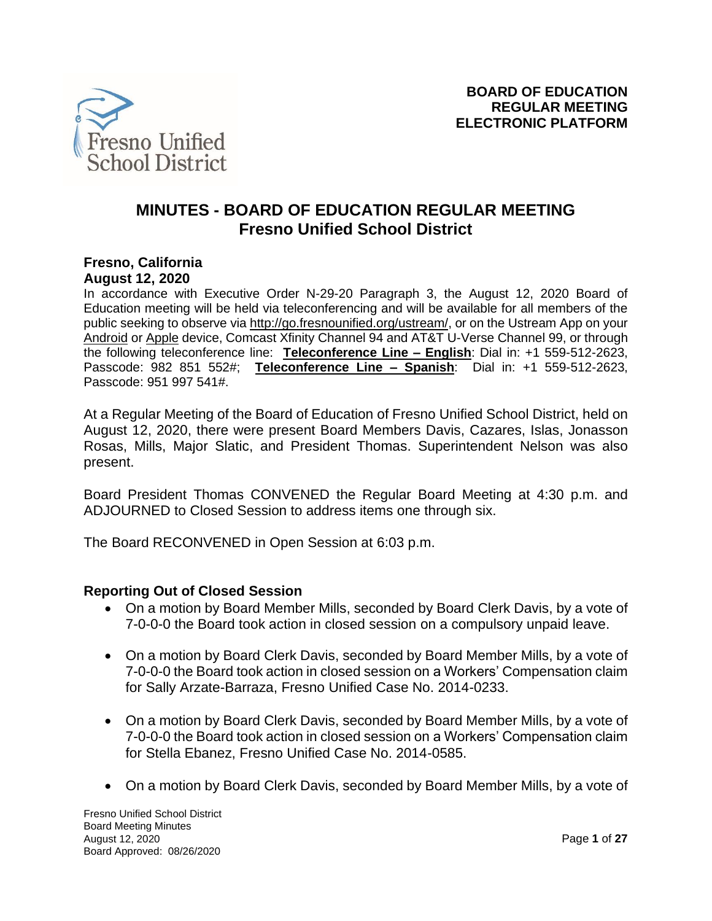

# **MINUTES - BOARD OF EDUCATION REGULAR MEETING Fresno Unified School District**

#### **Fresno, California August 12, 2020**

In accordance with Executive Order N-29-20 Paragraph 3, the August 12, 2020 Board of Education meeting will be held via teleconferencing and will be available for all members of the public seeking to observe via [http://go.fresnounified.org/ustream/,](http://go.fresnounified.org/ustream/) or on the Ustream App on your [Android](https://play.google.com/store/apps/details?id=tv.ustream.ustream&hl=en_US) or [Apple](https://itunes.apple.com/us/app/ustream/id301520250?mt=8) device, Comcast Xfinity Channel 94 and AT&T U-Verse Channel 99, or through the following teleconference line: **Teleconference Line – English**: Dial in: +1 559-512-2623, Passcode: 982 851 552#; **Teleconference Line – Spanish**: Dial in: +1 559-512-2623, Passcode: 951 997 541#.

At a Regular Meeting of the Board of Education of Fresno Unified School District, held on August 12, 2020, there were present Board Members Davis, Cazares, Islas, Jonasson Rosas, Mills, Major Slatic, and President Thomas. Superintendent Nelson was also present.

Board President Thomas CONVENED the Regular Board Meeting at 4:30 p.m. and ADJOURNED to Closed Session to address items one through six.

The Board RECONVENED in Open Session at 6:03 p.m.

#### **Reporting Out of Closed Session**

- On a motion by Board Member Mills, seconded by Board Clerk Davis, by a vote of 7-0-0-0 the Board took action in closed session on a compulsory unpaid leave.
- On a motion by Board Clerk Davis, seconded by Board Member Mills, by a vote of 7-0-0-0 the Board took action in closed session on a Workers' Compensation claim for Sally Arzate-Barraza, Fresno Unified Case No. 2014-0233.
- On a motion by Board Clerk Davis, seconded by Board Member Mills, by a vote of 7-0-0-0 the Board took action in closed session on a Workers' Compensation claim for Stella Ebanez, Fresno Unified Case No. 2014-0585.
- On a motion by Board Clerk Davis, seconded by Board Member Mills, by a vote of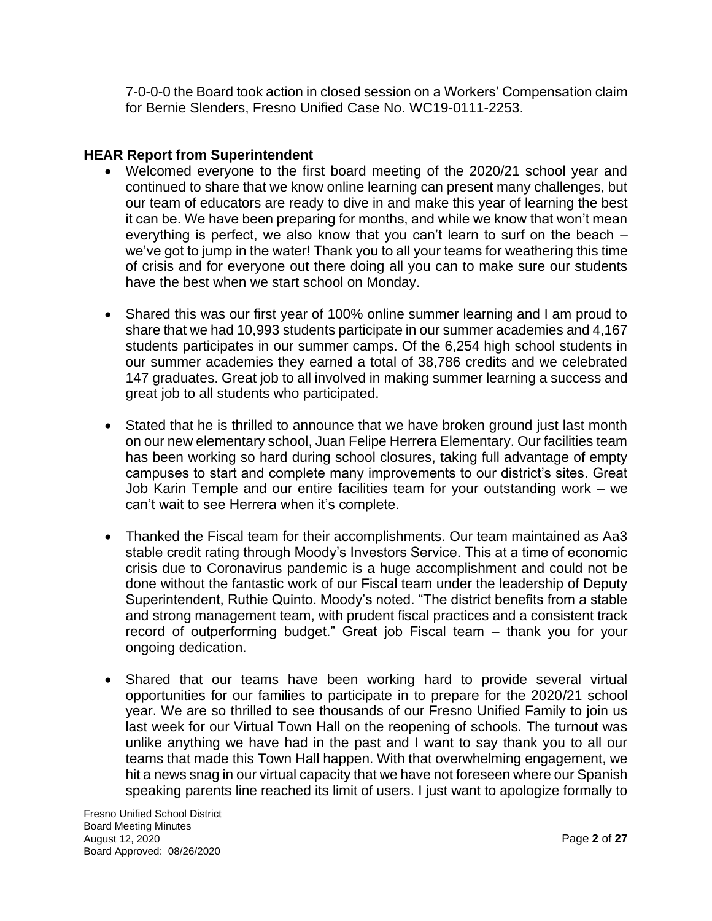7-0-0-0 the Board took action in closed session on a Workers' Compensation claim for Bernie Slenders, Fresno Unified Case No. WC19-0111-2253.

#### **HEAR Report from Superintendent**

- Welcomed everyone to the first board meeting of the 2020/21 school year and continued to share that we know online learning can present many challenges, but our team of educators are ready to dive in and make this year of learning the best it can be. We have been preparing for months, and while we know that won't mean everything is perfect, we also know that you can't learn to surf on the beach – we've got to jump in the water! Thank you to all your teams for weathering this time of crisis and for everyone out there doing all you can to make sure our students have the best when we start school on Monday.
- Shared this was our first year of 100% online summer learning and I am proud to share that we had 10,993 students participate in our summer academies and 4,167 students participates in our summer camps. Of the 6,254 high school students in our summer academies they earned a total of 38,786 credits and we celebrated 147 graduates. Great job to all involved in making summer learning a success and great job to all students who participated.
- Stated that he is thrilled to announce that we have broken ground just last month on our new elementary school, Juan Felipe Herrera Elementary. Our facilities team has been working so hard during school closures, taking full advantage of empty campuses to start and complete many improvements to our district's sites. Great Job Karin Temple and our entire facilities team for your outstanding work – we can't wait to see Herrera when it's complete.
- Thanked the Fiscal team for their accomplishments. Our team maintained as Aa3 stable credit rating through Moody's Investors Service. This at a time of economic crisis due to Coronavirus pandemic is a huge accomplishment and could not be done without the fantastic work of our Fiscal team under the leadership of Deputy Superintendent, Ruthie Quinto. Moody's noted. "The district benefits from a stable and strong management team, with prudent fiscal practices and a consistent track record of outperforming budget." Great job Fiscal team – thank you for your ongoing dedication.
- Shared that our teams have been working hard to provide several virtual opportunities for our families to participate in to prepare for the 2020/21 school year. We are so thrilled to see thousands of our Fresno Unified Family to join us last week for our Virtual Town Hall on the reopening of schools. The turnout was unlike anything we have had in the past and I want to say thank you to all our teams that made this Town Hall happen. With that overwhelming engagement, we hit a news snag in our virtual capacity that we have not foreseen where our Spanish speaking parents line reached its limit of users. I just want to apologize formally to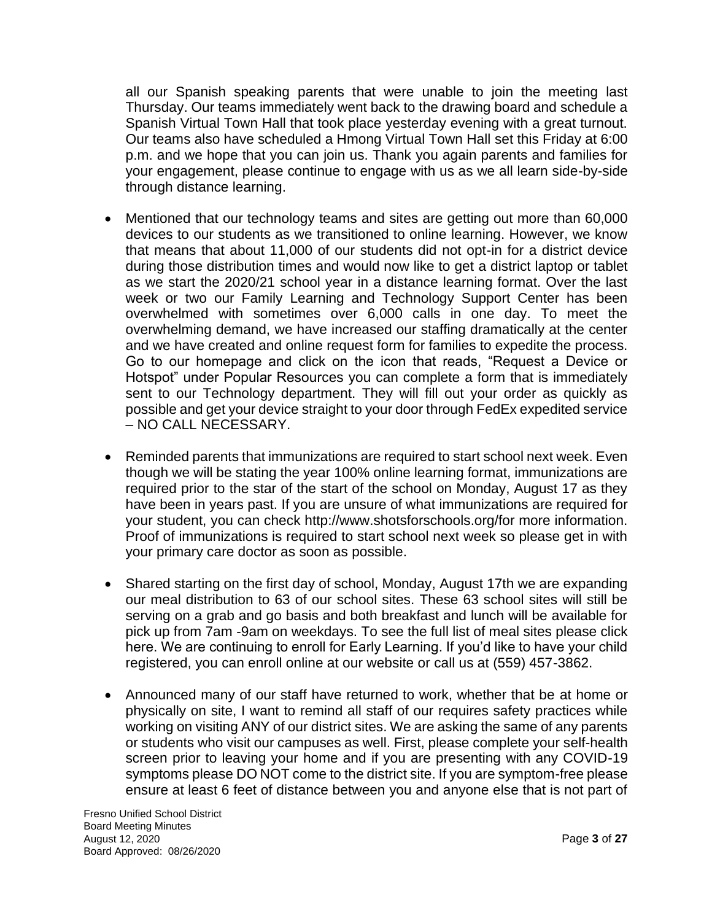all our Spanish speaking parents that were unable to join the meeting last Thursday. Our teams immediately went back to the drawing board and schedule a Spanish Virtual Town Hall that took place yesterday evening with a great turnout. Our teams also have scheduled a Hmong Virtual Town Hall set this Friday at 6:00 p.m. and we hope that you can join us. Thank you again parents and families for your engagement, please continue to engage with us as we all learn side-by-side through distance learning.

- Mentioned that our technology teams and sites are getting out more than 60,000 devices to our students as we transitioned to online learning. However, we know that means that about 11,000 of our students did not opt-in for a district device during those distribution times and would now like to get a district laptop or tablet as we start the 2020/21 school year in a distance learning format. Over the last week or two our Family Learning and Technology Support Center has been overwhelmed with sometimes over 6,000 calls in one day. To meet the overwhelming demand, we have increased our staffing dramatically at the center and we have created and online request form for families to expedite the process. Go to our homepage and click on the icon that reads, "Request a Device or Hotspot" under Popular Resources you can complete a form that is immediately sent to our Technology department. They will fill out your order as quickly as possible and get your device straight to your door through FedEx expedited service – NO CALL NECESSARY.
- Reminded parents that immunizations are required to start school next week. Even though we will be stating the year 100% online learning format, immunizations are required prior to the star of the start of the school on Monday, August 17 as they have been in years past. If you are unsure of what immunizations are required for your student, you can check http://www.shotsforschools.org/for more information. Proof of immunizations is required to start school next week so please get in with your primary care doctor as soon as possible.
- Shared starting on the first day of school, Monday, August 17th we are expanding our meal distribution to 63 of our school sites. These 63 school sites will still be serving on a grab and go basis and both breakfast and lunch will be available for pick up from 7am -9am on weekdays. To see the full list of meal sites please click here. We are continuing to enroll for Early Learning. If you'd like to have your child registered, you can enroll online at our website or call us at (559) 457-3862.
- Announced many of our staff have returned to work, whether that be at home or physically on site, I want to remind all staff of our requires safety practices while working on visiting ANY of our district sites. We are asking the same of any parents or students who visit our campuses as well. First, please complete your self-health screen prior to leaving your home and if you are presenting with any COVID-19 symptoms please DO NOT come to the district site. If you are symptom-free please ensure at least 6 feet of distance between you and anyone else that is not part of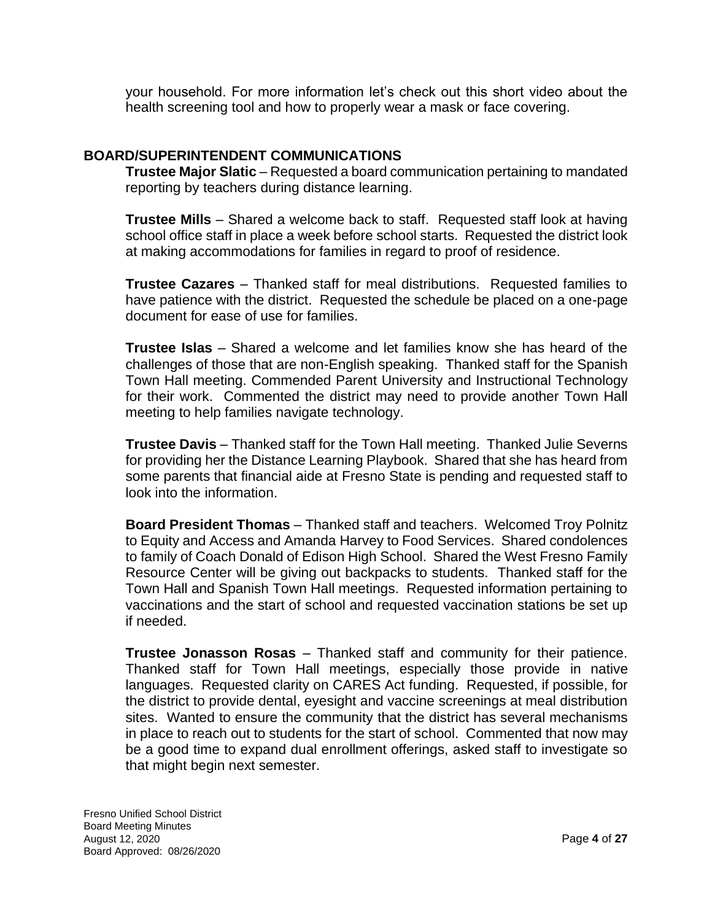your household. For more information let's check out this short video about the health screening tool and how to properly wear a mask or face covering.

#### **BOARD/SUPERINTENDENT COMMUNICATIONS**

**Trustee Major Slatic** – Requested a board communication pertaining to mandated reporting by teachers during distance learning.

**Trustee Mills** – Shared a welcome back to staff. Requested staff look at having school office staff in place a week before school starts. Requested the district look at making accommodations for families in regard to proof of residence.

**Trustee Cazares** – Thanked staff for meal distributions. Requested families to have patience with the district. Requested the schedule be placed on a one-page document for ease of use for families.

**Trustee Islas** – Shared a welcome and let families know she has heard of the challenges of those that are non-English speaking. Thanked staff for the Spanish Town Hall meeting. Commended Parent University and Instructional Technology for their work. Commented the district may need to provide another Town Hall meeting to help families navigate technology.

**Trustee Davis** – Thanked staff for the Town Hall meeting. Thanked Julie Severns for providing her the Distance Learning Playbook. Shared that she has heard from some parents that financial aide at Fresno State is pending and requested staff to look into the information.

**Board President Thomas** – Thanked staff and teachers. Welcomed Troy Polnitz to Equity and Access and Amanda Harvey to Food Services. Shared condolences to family of Coach Donald of Edison High School. Shared the West Fresno Family Resource Center will be giving out backpacks to students. Thanked staff for the Town Hall and Spanish Town Hall meetings. Requested information pertaining to vaccinations and the start of school and requested vaccination stations be set up if needed.

**Trustee Jonasson Rosas** – Thanked staff and community for their patience. Thanked staff for Town Hall meetings, especially those provide in native languages. Requested clarity on CARES Act funding. Requested, if possible, for the district to provide dental, eyesight and vaccine screenings at meal distribution sites. Wanted to ensure the community that the district has several mechanisms in place to reach out to students for the start of school. Commented that now may be a good time to expand dual enrollment offerings, asked staff to investigate so that might begin next semester.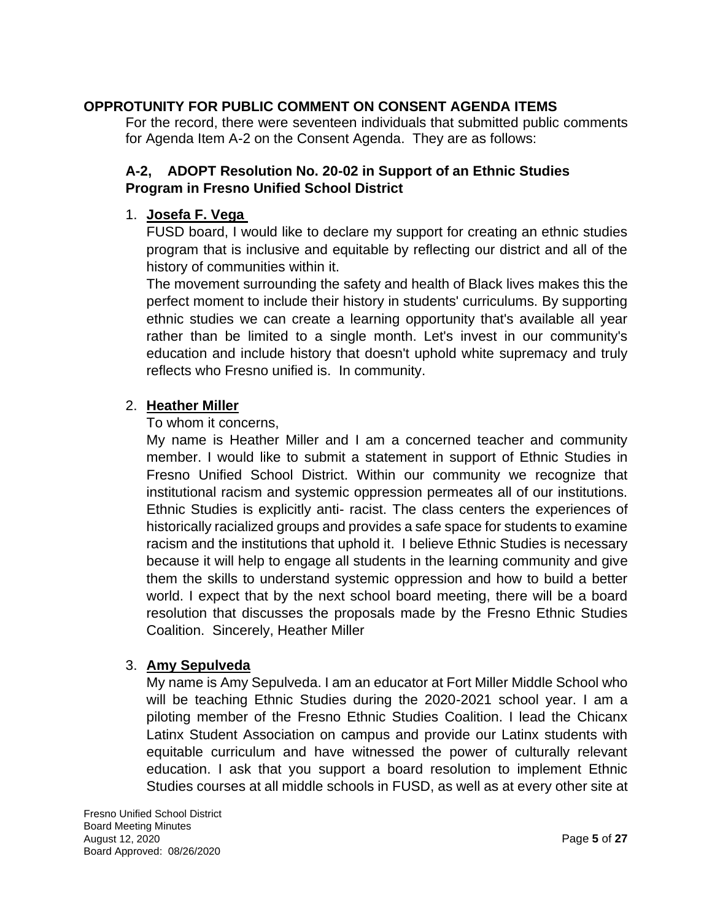## **OPPROTUNITY FOR PUBLIC COMMENT ON CONSENT AGENDA ITEMS**

For the record, there were seventeen individuals that submitted public comments for Agenda Item A-2 on the Consent Agenda. They are as follows:

# **A-2, ADOPT Resolution No. 20-02 in Support of an Ethnic Studies Program in Fresno Unified School District**

## 1. **Josefa F. Vega**

FUSD board, I would like to declare my support for creating an ethnic studies program that is inclusive and equitable by reflecting our district and all of the history of communities within it.

The movement surrounding the safety and health of Black lives makes this the perfect moment to include their history in students' curriculums. By supporting ethnic studies we can create a learning opportunity that's available all year rather than be limited to a single month. Let's invest in our community's education and include history that doesn't uphold white supremacy and truly reflects who Fresno unified is. In community.

## 2. **Heather Miller**

To whom it concerns,

My name is Heather Miller and I am a concerned teacher and community member. I would like to submit a statement in support of Ethnic Studies in Fresno Unified School District. Within our community we recognize that institutional racism and systemic oppression permeates all of our institutions. Ethnic Studies is explicitly anti- racist. The class centers the experiences of historically racialized groups and provides a safe space for students to examine racism and the institutions that uphold it. I believe Ethnic Studies is necessary because it will help to engage all students in the learning community and give them the skills to understand systemic oppression and how to build a better world. I expect that by the next school board meeting, there will be a board resolution that discusses the proposals made by the Fresno Ethnic Studies Coalition. Sincerely, Heather Miller

#### 3. **Amy Sepulveda**

My name is Amy Sepulveda. I am an educator at Fort Miller Middle School who will be teaching Ethnic Studies during the 2020-2021 school year. I am a piloting member of the Fresno Ethnic Studies Coalition. I lead the Chicanx Latinx Student Association on campus and provide our Latinx students with equitable curriculum and have witnessed the power of culturally relevant education. I ask that you support a board resolution to implement Ethnic Studies courses at all middle schools in FUSD, as well as at every other site at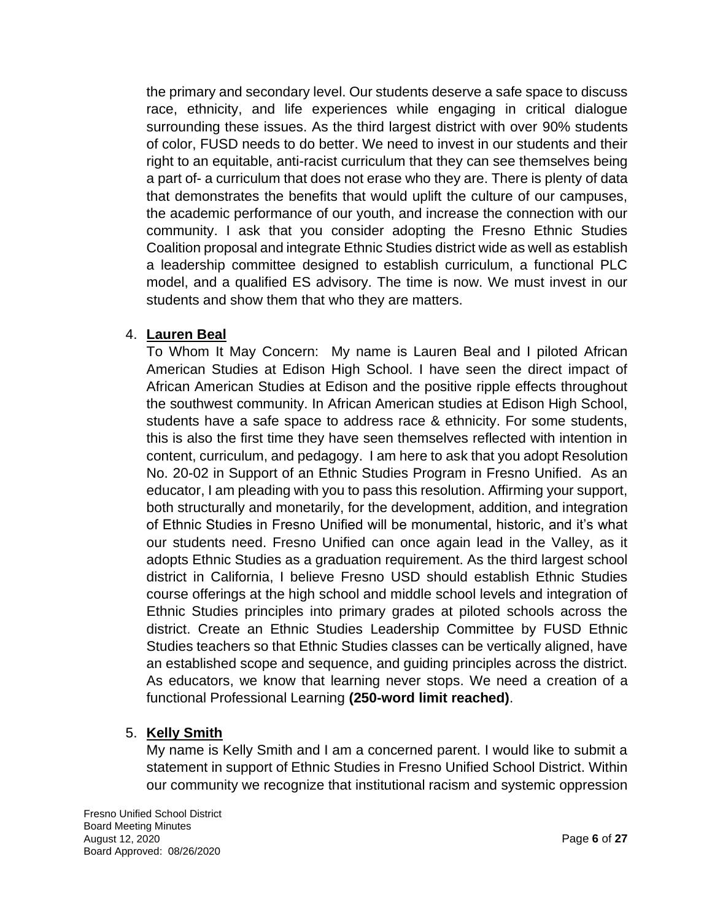the primary and secondary level. Our students deserve a safe space to discuss race, ethnicity, and life experiences while engaging in critical dialogue surrounding these issues. As the third largest district with over 90% students of color, FUSD needs to do better. We need to invest in our students and their right to an equitable, anti-racist curriculum that they can see themselves being a part of- a curriculum that does not erase who they are. There is plenty of data that demonstrates the benefits that would uplift the culture of our campuses, the academic performance of our youth, and increase the connection with our community. I ask that you consider adopting the Fresno Ethnic Studies Coalition proposal and integrate Ethnic Studies district wide as well as establish a leadership committee designed to establish curriculum, a functional PLC model, and a qualified ES advisory. The time is now. We must invest in our students and show them that who they are matters.

## 4. **Lauren Beal**

To Whom It May Concern: My name is Lauren Beal and I piloted African American Studies at Edison High School. I have seen the direct impact of African American Studies at Edison and the positive ripple effects throughout the southwest community. In African American studies at Edison High School, students have a safe space to address race & ethnicity. For some students, this is also the first time they have seen themselves reflected with intention in content, curriculum, and pedagogy. I am here to ask that you adopt Resolution No. 20-02 in Support of an Ethnic Studies Program in Fresno Unified. As an educator, I am pleading with you to pass this resolution. Affirming your support, both structurally and monetarily, for the development, addition, and integration of Ethnic Studies in Fresno Unified will be monumental, historic, and it's what our students need. Fresno Unified can once again lead in the Valley, as it adopts Ethnic Studies as a graduation requirement. As the third largest school district in California, I believe Fresno USD should establish Ethnic Studies course offerings at the high school and middle school levels and integration of Ethnic Studies principles into primary grades at piloted schools across the district. Create an Ethnic Studies Leadership Committee by FUSD Ethnic Studies teachers so that Ethnic Studies classes can be vertically aligned, have an established scope and sequence, and guiding principles across the district. As educators, we know that learning never stops. We need a creation of a functional Professional Learning **(250-word limit reached)**.

# 5. **Kelly Smith**

My name is Kelly Smith and I am a concerned parent. I would like to submit a statement in support of Ethnic Studies in Fresno Unified School District. Within our community we recognize that institutional racism and systemic oppression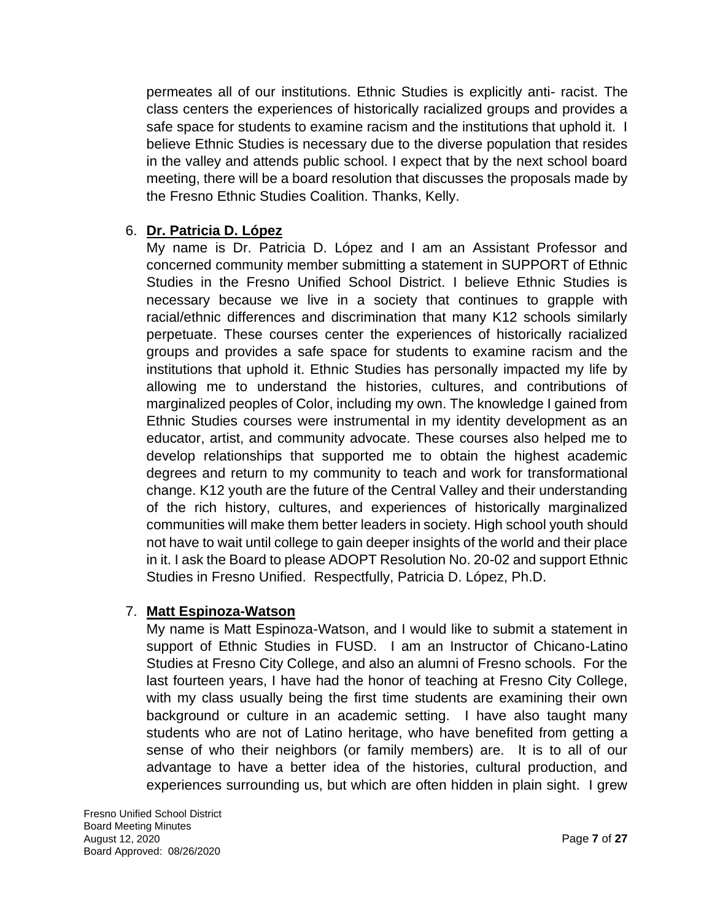permeates all of our institutions. Ethnic Studies is explicitly anti- racist. The class centers the experiences of historically racialized groups and provides a safe space for students to examine racism and the institutions that uphold it. I believe Ethnic Studies is necessary due to the diverse population that resides in the valley and attends public school. I expect that by the next school board meeting, there will be a board resolution that discusses the proposals made by the Fresno Ethnic Studies Coalition. Thanks, Kelly.

## 6. **Dr. Patricia D. López**

My name is Dr. Patricia D. López and I am an Assistant Professor and concerned community member submitting a statement in SUPPORT of Ethnic Studies in the Fresno Unified School District. I believe Ethnic Studies is necessary because we live in a society that continues to grapple with racial/ethnic differences and discrimination that many K12 schools similarly perpetuate. These courses center the experiences of historically racialized groups and provides a safe space for students to examine racism and the institutions that uphold it. Ethnic Studies has personally impacted my life by allowing me to understand the histories, cultures, and contributions of marginalized peoples of Color, including my own. The knowledge I gained from Ethnic Studies courses were instrumental in my identity development as an educator, artist, and community advocate. These courses also helped me to develop relationships that supported me to obtain the highest academic degrees and return to my community to teach and work for transformational change. K12 youth are the future of the Central Valley and their understanding of the rich history, cultures, and experiences of historically marginalized communities will make them better leaders in society. High school youth should not have to wait until college to gain deeper insights of the world and their place in it. I ask the Board to please ADOPT Resolution No. 20-02 and support Ethnic Studies in Fresno Unified. Respectfully, Patricia D. López, Ph.D.

# 7. **Matt Espinoza-Watson**

My name is Matt Espinoza-Watson, and I would like to submit a statement in support of Ethnic Studies in FUSD. I am an Instructor of Chicano-Latino Studies at Fresno City College, and also an alumni of Fresno schools. For the last fourteen years, I have had the honor of teaching at Fresno City College, with my class usually being the first time students are examining their own background or culture in an academic setting. I have also taught many students who are not of Latino heritage, who have benefited from getting a sense of who their neighbors (or family members) are. It is to all of our advantage to have a better idea of the histories, cultural production, and experiences surrounding us, but which are often hidden in plain sight. I grew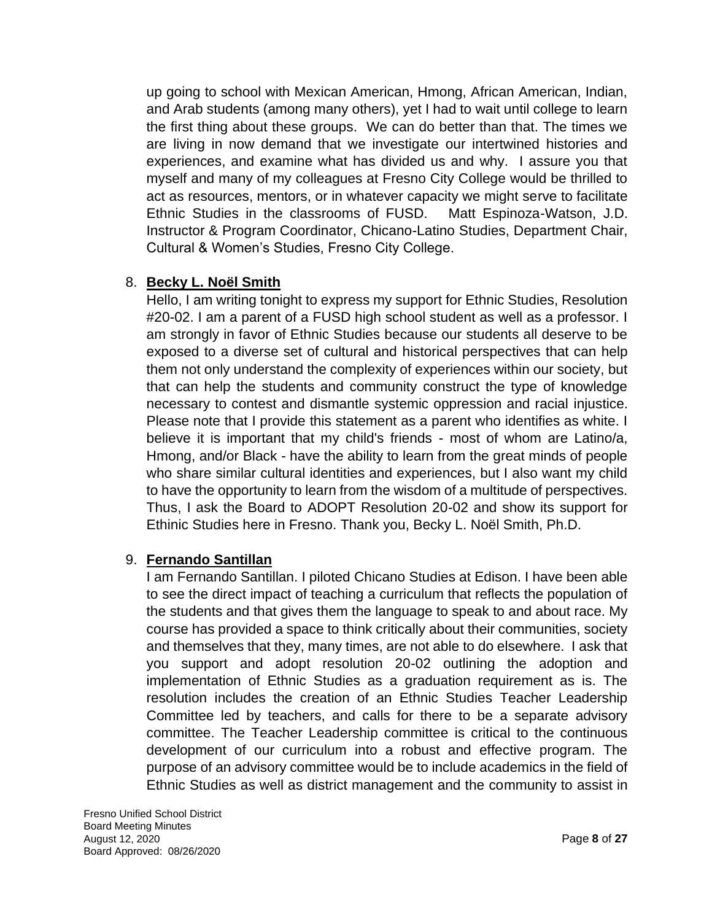up going to school with Mexican American, Hmong, African American, Indian, and Arab students (among many others), yet I had to wait until college to learn the first thing about these groups. We can do better than that. The times we are living in now demand that we investigate our intertwined histories and experiences, and examine what has divided us and why. I assure you that myself and many of my colleagues at Fresno City College would be thrilled to act as resources, mentors, or in whatever capacity we might serve to facilitate Ethnic Studies in the classrooms of FUSD. Matt Espinoza-Watson, J.D. Instructor & Program Coordinator, Chicano-Latino Studies, Department Chair, Cultural & Women's Studies, Fresno City College.

## 8. **Becky L. Noël Smith**

Hello, I am writing tonight to express my support for Ethnic Studies, Resolution #20-02. I am a parent of a FUSD high school student as well as a professor. I am strongly in favor of Ethnic Studies because our students all deserve to be exposed to a diverse set of cultural and historical perspectives that can help them not only understand the complexity of experiences within our society, but that can help the students and community construct the type of knowledge necessary to contest and dismantle systemic oppression and racial injustice. Please note that I provide this statement as a parent who identifies as white. I believe it is important that my child's friends - most of whom are Latino/a, Hmong, and/or Black - have the ability to learn from the great minds of people who share similar cultural identities and experiences, but I also want my child to have the opportunity to learn from the wisdom of a multitude of perspectives. Thus, I ask the Board to ADOPT Resolution 20-02 and show its support for Ethinic Studies here in Fresno. Thank you, Becky L. Noël Smith, Ph.D.

#### 9. **Fernando Santillan**

I am Fernando Santillan. I piloted Chicano Studies at Edison. I have been able to see the direct impact of teaching a curriculum that reflects the population of the students and that gives them the language to speak to and about race. My course has provided a space to think critically about their communities, society and themselves that they, many times, are not able to do elsewhere. I ask that you support and adopt resolution 20-02 outlining the adoption and implementation of Ethnic Studies as a graduation requirement as is. The resolution includes the creation of an Ethnic Studies Teacher Leadership Committee led by teachers, and calls for there to be a separate advisory committee. The Teacher Leadership committee is critical to the continuous development of our curriculum into a robust and effective program. The purpose of an advisory committee would be to include academics in the field of Ethnic Studies as well as district management and the community to assist in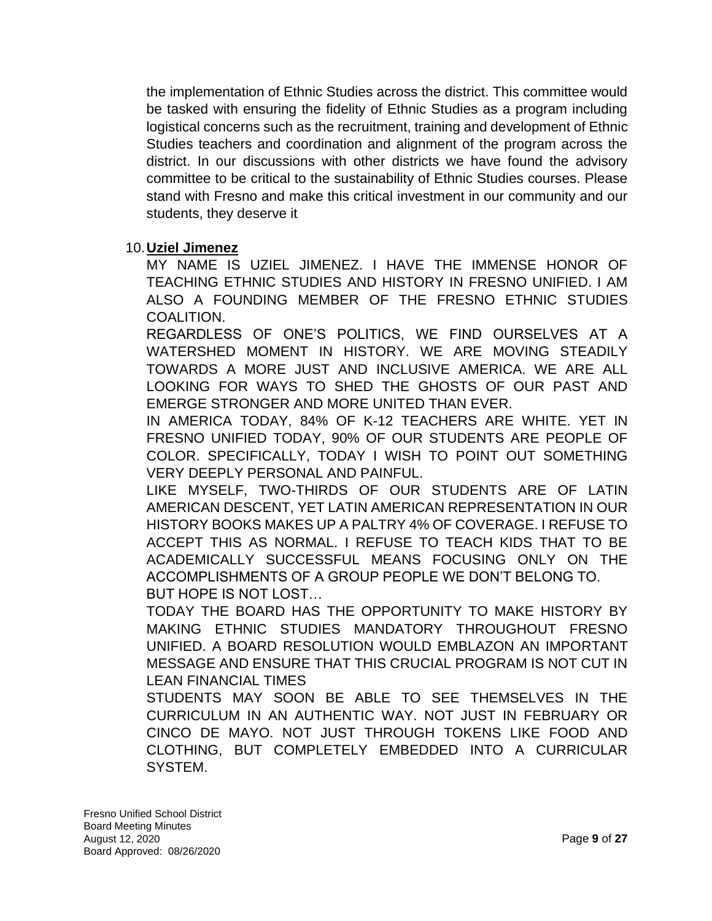the implementation of Ethnic Studies across the district. This committee would be tasked with ensuring the fidelity of Ethnic Studies as a program including logistical concerns such as the recruitment, training and development of Ethnic Studies teachers and coordination and alignment of the program across the district. In our discussions with other districts we have found the advisory committee to be critical to the sustainability of Ethnic Studies courses. Please stand with Fresno and make this critical investment in our community and our students, they deserve it

#### 10.**Uziel Jimenez**

MY NAME IS UZIEL JIMENEZ. I HAVE THE IMMENSE HONOR OF TEACHING ETHNIC STUDIES AND HISTORY IN FRESNO UNIFIED. I AM ALSO A FOUNDING MEMBER OF THE FRESNO ETHNIC STUDIES COALITION.

REGARDLESS OF ONE'S POLITICS, WE FIND OURSELVES AT A WATERSHED MOMENT IN HISTORY. WE ARE MOVING STEADILY TOWARDS A MORE JUST AND INCLUSIVE AMERICA. WE ARE ALL LOOKING FOR WAYS TO SHED THE GHOSTS OF OUR PAST AND EMERGE STRONGER AND MORE UNITED THAN EVER.

IN AMERICA TODAY, 84% OF K-12 TEACHERS ARE WHITE. YET IN FRESNO UNIFIED TODAY, 90% OF OUR STUDENTS ARE PEOPLE OF COLOR. SPECIFICALLY, TODAY I WISH TO POINT OUT SOMETHING VERY DEEPLY PERSONAL AND PAINFUL.

LIKE MYSELF, TWO-THIRDS OF OUR STUDENTS ARE OF LATIN AMERICAN DESCENT, YET LATIN AMERICAN REPRESENTATION IN OUR HISTORY BOOKS MAKES UP A PALTRY 4% OF COVERAGE. I REFUSE TO ACCEPT THIS AS NORMAL. I REFUSE TO TEACH KIDS THAT TO BE ACADEMICALLY SUCCESSFUL MEANS FOCUSING ONLY ON THE ACCOMPLISHMENTS OF A GROUP PEOPLE WE DON'T BELONG TO. BUT HOPE IS NOT LOST…

TODAY THE BOARD HAS THE OPPORTUNITY TO MAKE HISTORY BY MAKING ETHNIC STUDIES MANDATORY THROUGHOUT FRESNO UNIFIED. A BOARD RESOLUTION WOULD EMBLAZON AN IMPORTANT MESSAGE AND ENSURE THAT THIS CRUCIAL PROGRAM IS NOT CUT IN LEAN FINANCIAL TIMES

STUDENTS MAY SOON BE ABLE TO SEE THEMSELVES IN THE CURRICULUM IN AN AUTHENTIC WAY. NOT JUST IN FEBRUARY OR CINCO DE MAYO. NOT JUST THROUGH TOKENS LIKE FOOD AND CLOTHING, BUT COMPLETELY EMBEDDED INTO A CURRICULAR SYSTEM.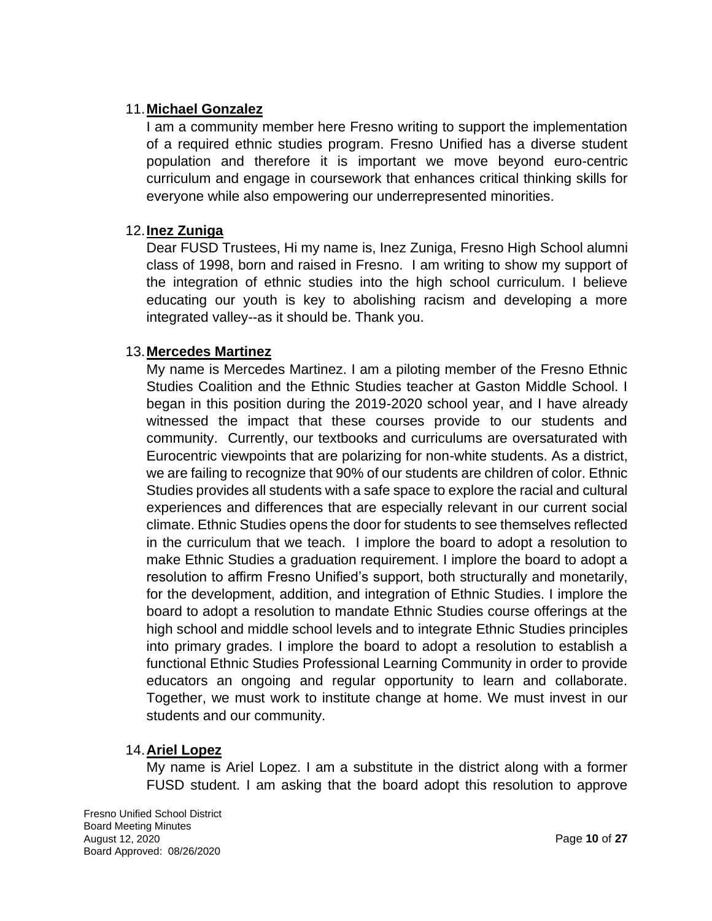### 11.**Michael Gonzalez**

I am a community member here Fresno writing to support the implementation of a required ethnic studies program. Fresno Unified has a diverse student population and therefore it is important we move beyond euro-centric curriculum and engage in coursework that enhances critical thinking skills for everyone while also empowering our underrepresented minorities.

## 12.**Inez Zuniga**

Dear FUSD Trustees, Hi my name is, Inez Zuniga, Fresno High School alumni class of 1998, born and raised in Fresno. I am writing to show my support of the integration of ethnic studies into the high school curriculum. I believe educating our youth is key to abolishing racism and developing a more integrated valley--as it should be. Thank you.

## 13.**Mercedes Martinez**

My name is Mercedes Martinez. I am a piloting member of the Fresno Ethnic Studies Coalition and the Ethnic Studies teacher at Gaston Middle School. I began in this position during the 2019-2020 school year, and I have already witnessed the impact that these courses provide to our students and community. Currently, our textbooks and curriculums are oversaturated with Eurocentric viewpoints that are polarizing for non-white students. As a district, we are failing to recognize that 90% of our students are children of color. Ethnic Studies provides all students with a safe space to explore the racial and cultural experiences and differences that are especially relevant in our current social climate. Ethnic Studies opens the door for students to see themselves reflected in the curriculum that we teach. I implore the board to adopt a resolution to make Ethnic Studies a graduation requirement. I implore the board to adopt a resolution to affirm Fresno Unified's support, both structurally and monetarily, for the development, addition, and integration of Ethnic Studies. I implore the board to adopt a resolution to mandate Ethnic Studies course offerings at the high school and middle school levels and to integrate Ethnic Studies principles into primary grades. I implore the board to adopt a resolution to establish a functional Ethnic Studies Professional Learning Community in order to provide educators an ongoing and regular opportunity to learn and collaborate. Together, we must work to institute change at home. We must invest in our students and our community.

#### 14.**Ariel Lopez**

My name is Ariel Lopez. I am a substitute in the district along with a former FUSD student. I am asking that the board adopt this resolution to approve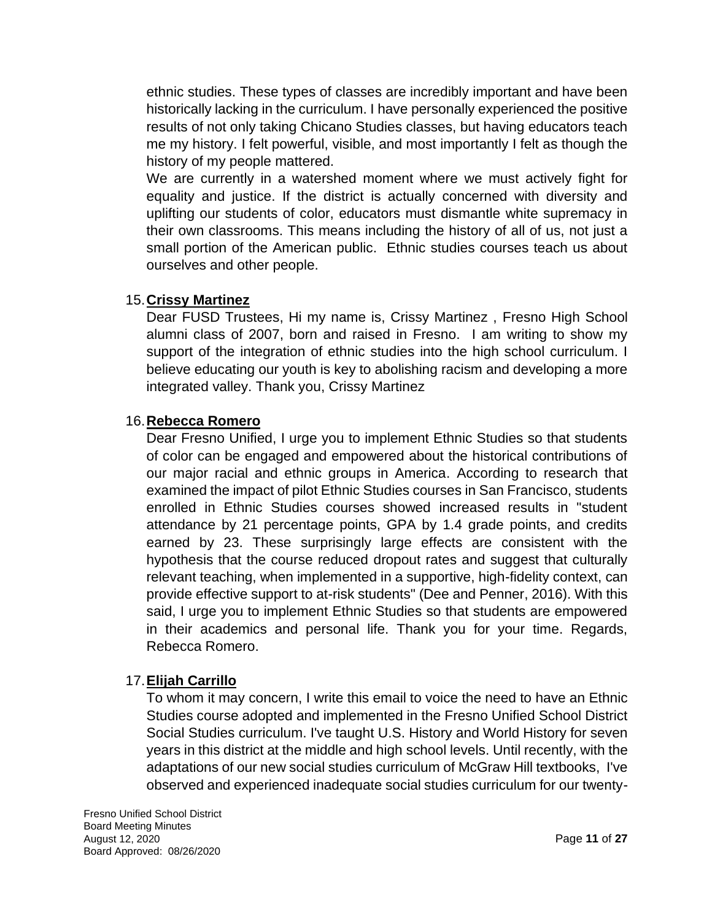ethnic studies. These types of classes are incredibly important and have been historically lacking in the curriculum. I have personally experienced the positive results of not only taking Chicano Studies classes, but having educators teach me my history. I felt powerful, visible, and most importantly I felt as though the history of my people mattered.

We are currently in a watershed moment where we must actively fight for equality and justice. If the district is actually concerned with diversity and uplifting our students of color, educators must dismantle white supremacy in their own classrooms. This means including the history of all of us, not just a small portion of the American public. Ethnic studies courses teach us about ourselves and other people.

## 15.**Crissy Martinez**

Dear FUSD Trustees, Hi my name is, Crissy Martinez , Fresno High School alumni class of 2007, born and raised in Fresno. I am writing to show my support of the integration of ethnic studies into the high school curriculum. I believe educating our youth is key to abolishing racism and developing a more integrated valley. Thank you, Crissy Martinez

## 16.**Rebecca Romero**

Dear Fresno Unified, I urge you to implement Ethnic Studies so that students of color can be engaged and empowered about the historical contributions of our major racial and ethnic groups in America. According to research that examined the impact of pilot Ethnic Studies courses in San Francisco, students enrolled in Ethnic Studies courses showed increased results in "student attendance by 21 percentage points, GPA by 1.4 grade points, and credits earned by 23. These surprisingly large effects are consistent with the hypothesis that the course reduced dropout rates and suggest that culturally relevant teaching, when implemented in a supportive, high-fidelity context, can provide effective support to at-risk students" (Dee and Penner, 2016). With this said, I urge you to implement Ethnic Studies so that students are empowered in their academics and personal life. Thank you for your time. Regards, Rebecca Romero.

# 17.**Elijah Carrillo**

To whom it may concern, I write this email to voice the need to have an Ethnic Studies course adopted and implemented in the Fresno Unified School District Social Studies curriculum. I've taught U.S. History and World History for seven years in this district at the middle and high school levels. Until recently, with the adaptations of our new social studies curriculum of McGraw Hill textbooks, I've observed and experienced inadequate social studies curriculum for our twenty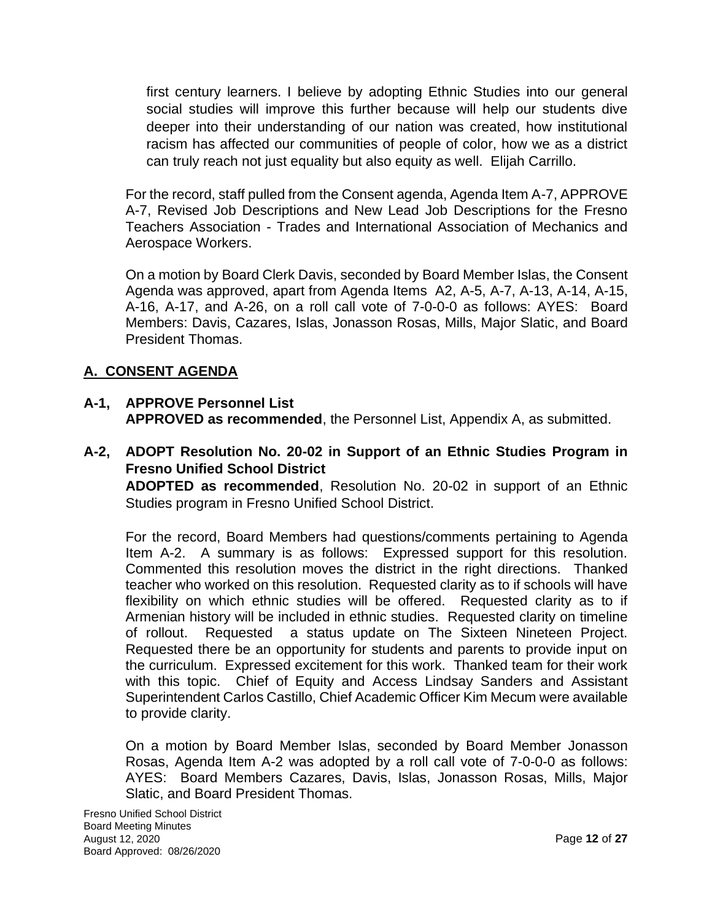first century learners. I believe by adopting Ethnic Studies into our general social studies will improve this further because will help our students dive deeper into their understanding of our nation was created, how institutional racism has affected our communities of people of color, how we as a district can truly reach not just equality but also equity as well. Elijah Carrillo.

For the record, staff pulled from the Consent agenda, Agenda Item A-7, APPROVE A-7, Revised Job Descriptions and New Lead Job Descriptions for the Fresno Teachers Association - Trades and International Association of Mechanics and Aerospace Workers.

On a motion by Board Clerk Davis, seconded by Board Member Islas, the Consent Agenda was approved, apart from Agenda Items A2, A-5, A-7, A-13, A-14, A-15, A-16, A-17, and A-26, on a roll call vote of 7-0-0-0 as follows: AYES: Board Members: Davis, Cazares, Islas, Jonasson Rosas, Mills, Major Slatic, and Board President Thomas.

# **A. CONSENT AGENDA**

## **A-1, APPROVE Personnel List APPROVED as recommended**, the Personnel List, Appendix A, as submitted.

**A-2, ADOPT Resolution No. 20-02 in Support of an Ethnic Studies Program in Fresno Unified School District** 

**ADOPTED as recommended**, Resolution No. 20-02 in support of an Ethnic Studies program in Fresno Unified School District.

For the record, Board Members had questions/comments pertaining to Agenda Item A-2. A summary is as follows: Expressed support for this resolution. Commented this resolution moves the district in the right directions. Thanked teacher who worked on this resolution. Requested clarity as to if schools will have flexibility on which ethnic studies will be offered. Requested clarity as to if Armenian history will be included in ethnic studies. Requested clarity on timeline of rollout. Requested a status update on The Sixteen Nineteen Project. Requested there be an opportunity for students and parents to provide input on the curriculum. Expressed excitement for this work. Thanked team for their work with this topic. Chief of Equity and Access Lindsay Sanders and Assistant Superintendent Carlos Castillo, Chief Academic Officer Kim Mecum were available to provide clarity.

On a motion by Board Member Islas, seconded by Board Member Jonasson Rosas, Agenda Item A-2 was adopted by a roll call vote of 7-0-0-0 as follows: AYES: Board Members Cazares, Davis, Islas, Jonasson Rosas, Mills, Major Slatic, and Board President Thomas.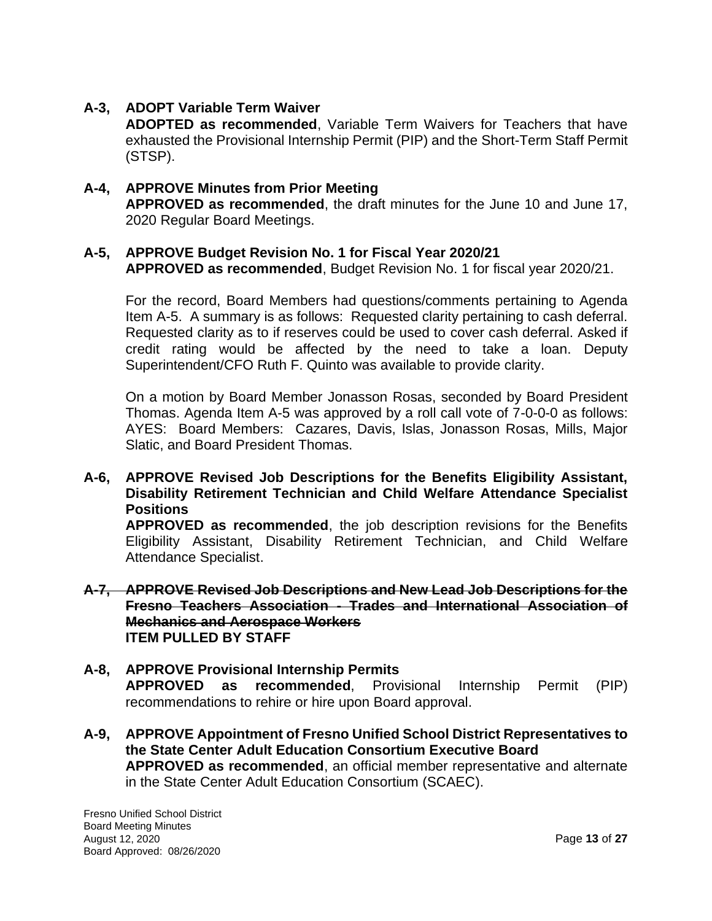## **A-3, ADOPT Variable Term Waiver**

**ADOPTED as recommended**, Variable Term Waivers for Teachers that have exhausted the Provisional Internship Permit (PIP) and the Short-Term Staff Permit (STSP).

## **A-4, APPROVE Minutes from Prior Meeting APPROVED as recommended**, the draft minutes for the June 10 and June 17, 2020 Regular Board Meetings.

# **A-5, APPROVE Budget Revision No. 1 for Fiscal Year 2020/21**

**APPROVED as recommended**, Budget Revision No. 1 for fiscal year 2020/21.

For the record, Board Members had questions/comments pertaining to Agenda Item A-5. A summary is as follows: Requested clarity pertaining to cash deferral. Requested clarity as to if reserves could be used to cover cash deferral. Asked if credit rating would be affected by the need to take a loan. Deputy Superintendent/CFO Ruth F. Quinto was available to provide clarity.

On a motion by Board Member Jonasson Rosas, seconded by Board President Thomas. Agenda Item A-5 was approved by a roll call vote of 7-0-0-0 as follows: AYES: Board Members: Cazares, Davis, Islas, Jonasson Rosas, Mills, Major Slatic, and Board President Thomas.

#### **A-6, APPROVE Revised Job Descriptions for the Benefits Eligibility Assistant, Disability Retirement Technician and Child Welfare Attendance Specialist Positions**

**APPROVED as recommended**, the job description revisions for the Benefits Eligibility Assistant, Disability Retirement Technician, and Child Welfare Attendance Specialist.

#### **A-7, APPROVE Revised Job Descriptions and New Lead Job Descriptions for the Fresno Teachers Association - Trades and International Association of Mechanics and Aerospace Workers ITEM PULLED BY STAFF**

#### **A-8, APPROVE Provisional Internship Permits APPROVED as recommended**, Provisional Internship Permit (PIP) recommendations to rehire or hire upon Board approval.

**A-9, APPROVE Appointment of Fresno Unified School District Representatives to the State Center Adult Education Consortium Executive Board APPROVED as recommended**, an official member representative and alternate in the State Center Adult Education Consortium (SCAEC).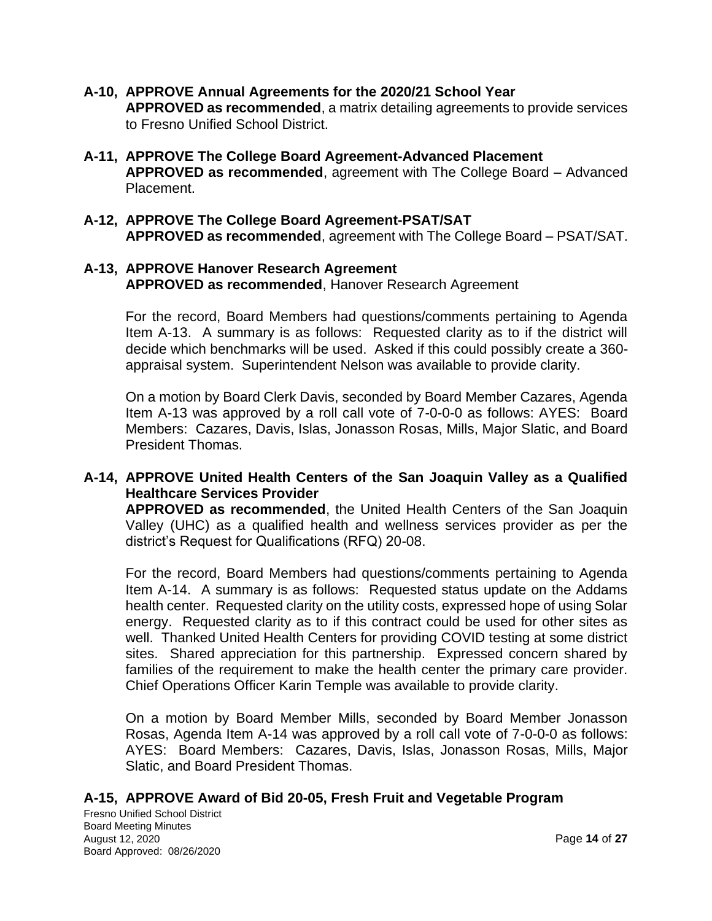- **A-10, APPROVE Annual Agreements for the 2020/21 School Year APPROVED as recommended**, a matrix detailing agreements to provide services to Fresno Unified School District.
- **A-11, APPROVE The College Board Agreement-Advanced Placement APPROVED as recommended**, agreement with The College Board – Advanced Placement.
- **A-12, APPROVE The College Board Agreement-PSAT/SAT APPROVED as recommended**, agreement with The College Board – PSAT/SAT.

## **A-13, APPROVE Hanover Research Agreement APPROVED as recommended**, Hanover Research Agreement

For the record, Board Members had questions/comments pertaining to Agenda Item A-13. A summary is as follows: Requested clarity as to if the district will decide which benchmarks will be used. Asked if this could possibly create a 360 appraisal system. Superintendent Nelson was available to provide clarity.

On a motion by Board Clerk Davis, seconded by Board Member Cazares, Agenda Item A-13 was approved by a roll call vote of 7-0-0-0 as follows: AYES: Board Members: Cazares, Davis, Islas, Jonasson Rosas, Mills, Major Slatic, and Board President Thomas.

#### **A-14, APPROVE United Health Centers of the San Joaquin Valley as a Qualified Healthcare Services Provider**

**APPROVED as recommended**, the United Health Centers of the San Joaquin Valley (UHC) as a qualified health and wellness services provider as per the district's Request for Qualifications (RFQ) 20-08.

For the record, Board Members had questions/comments pertaining to Agenda Item A-14. A summary is as follows: Requested status update on the Addams health center. Requested clarity on the utility costs, expressed hope of using Solar energy. Requested clarity as to if this contract could be used for other sites as well. Thanked United Health Centers for providing COVID testing at some district sites. Shared appreciation for this partnership. Expressed concern shared by families of the requirement to make the health center the primary care provider. Chief Operations Officer Karin Temple was available to provide clarity.

On a motion by Board Member Mills, seconded by Board Member Jonasson Rosas, Agenda Item A-14 was approved by a roll call vote of 7-0-0-0 as follows: AYES: Board Members: Cazares, Davis, Islas, Jonasson Rosas, Mills, Major Slatic, and Board President Thomas.

#### **A-15, APPROVE Award of Bid 20-05, Fresh Fruit and Vegetable Program**

Fresno Unified School District Board Meeting Minutes August 12, 2020 Page **14** of **27** Board Approved: 08/26/2020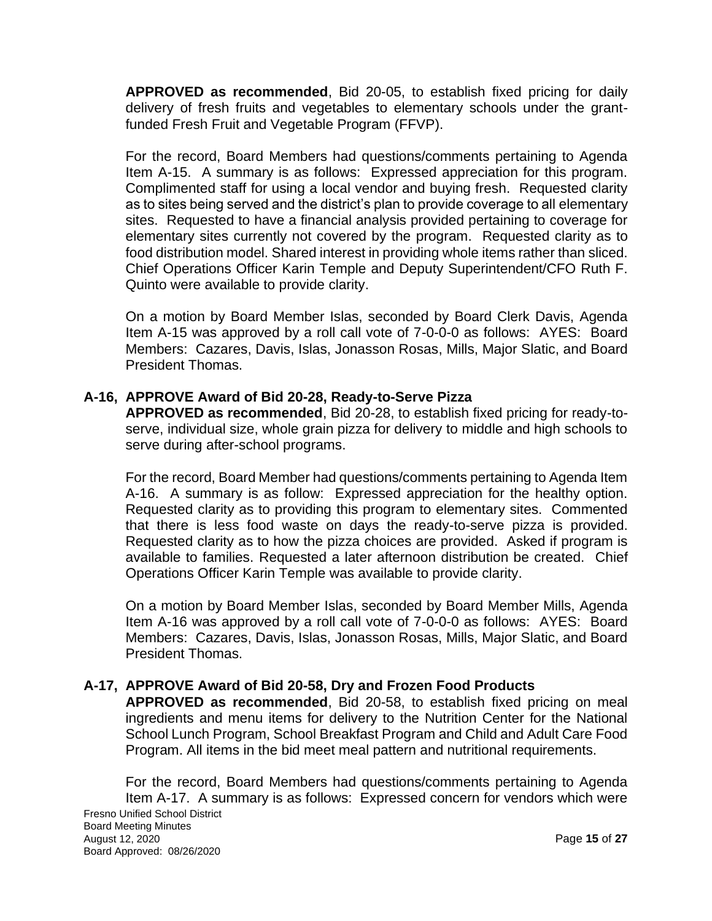**APPROVED as recommended**, Bid 20-05, to establish fixed pricing for daily delivery of fresh fruits and vegetables to elementary schools under the grantfunded Fresh Fruit and Vegetable Program (FFVP).

For the record, Board Members had questions/comments pertaining to Agenda Item A-15. A summary is as follows: Expressed appreciation for this program. Complimented staff for using a local vendor and buying fresh. Requested clarity as to sites being served and the district's plan to provide coverage to all elementary sites. Requested to have a financial analysis provided pertaining to coverage for elementary sites currently not covered by the program. Requested clarity as to food distribution model. Shared interest in providing whole items rather than sliced. Chief Operations Officer Karin Temple and Deputy Superintendent/CFO Ruth F. Quinto were available to provide clarity.

On a motion by Board Member Islas, seconded by Board Clerk Davis, Agenda Item A-15 was approved by a roll call vote of 7-0-0-0 as follows: AYES: Board Members: Cazares, Davis, Islas, Jonasson Rosas, Mills, Major Slatic, and Board President Thomas.

## **A-16, APPROVE Award of Bid 20-28, Ready-to-Serve Pizza**

**APPROVED as recommended**, Bid 20-28, to establish fixed pricing for ready-toserve, individual size, whole grain pizza for delivery to middle and high schools to serve during after-school programs.

For the record, Board Member had questions/comments pertaining to Agenda Item A-16. A summary is as follow: Expressed appreciation for the healthy option. Requested clarity as to providing this program to elementary sites. Commented that there is less food waste on days the ready-to-serve pizza is provided. Requested clarity as to how the pizza choices are provided. Asked if program is available to families. Requested a later afternoon distribution be created. Chief Operations Officer Karin Temple was available to provide clarity.

On a motion by Board Member Islas, seconded by Board Member Mills, Agenda Item A-16 was approved by a roll call vote of 7-0-0-0 as follows: AYES: Board Members: Cazares, Davis, Islas, Jonasson Rosas, Mills, Major Slatic, and Board President Thomas.

# **A-17, APPROVE Award of Bid 20-58, Dry and Frozen Food Products**

**APPROVED as recommended**, Bid 20-58, to establish fixed pricing on meal ingredients and menu items for delivery to the Nutrition Center for the National School Lunch Program, School Breakfast Program and Child and Adult Care Food Program. All items in the bid meet meal pattern and nutritional requirements.

For the record, Board Members had questions/comments pertaining to Agenda Item A-17. A summary is as follows: Expressed concern for vendors which were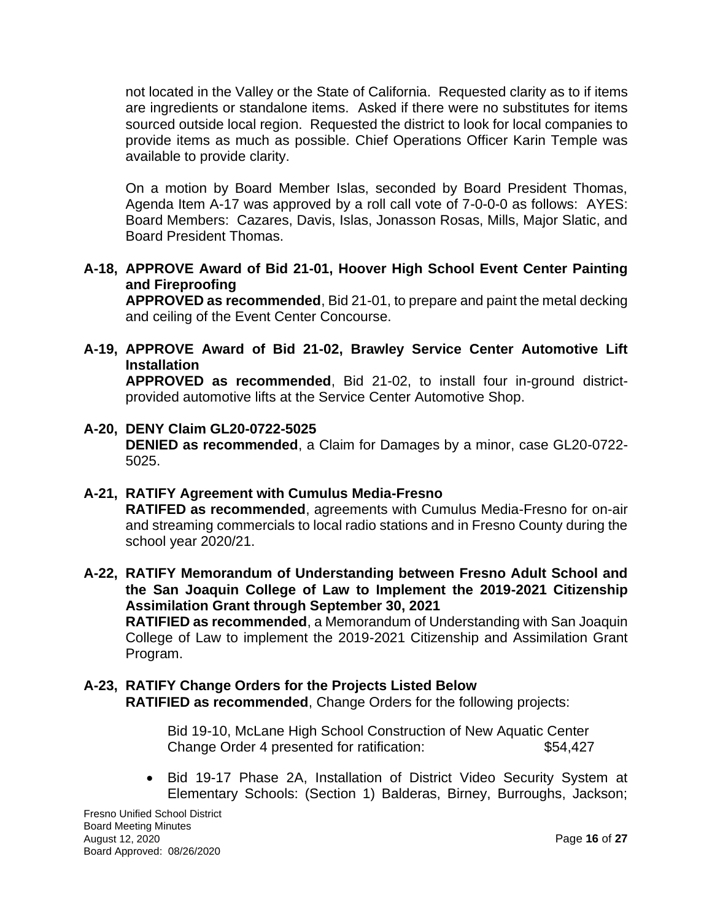not located in the Valley or the State of California. Requested clarity as to if items are ingredients or standalone items. Asked if there were no substitutes for items sourced outside local region. Requested the district to look for local companies to provide items as much as possible. Chief Operations Officer Karin Temple was available to provide clarity.

On a motion by Board Member Islas, seconded by Board President Thomas, Agenda Item A-17 was approved by a roll call vote of 7-0-0-0 as follows: AYES: Board Members: Cazares, Davis, Islas, Jonasson Rosas, Mills, Major Slatic, and Board President Thomas.

**A-18, APPROVE Award of Bid 21-01, Hoover High School Event Center Painting and Fireproofing**

**APPROVED as recommended**, Bid 21-01, to prepare and paint the metal decking and ceiling of the Event Center Concourse.

**A-19, APPROVE Award of Bid 21-02, Brawley Service Center Automotive Lift Installation**

**APPROVED as recommended**, Bid 21-02, to install four in-ground districtprovided automotive lifts at the Service Center Automotive Shop.

- **A-20, DENY Claim GL20-0722-5025 DENIED as recommended**, a Claim for Damages by a minor, case GL20-0722- 5025.
- **A-21, RATIFY Agreement with Cumulus Media-Fresno RATIFED as recommended**, agreements with Cumulus Media-Fresno for on-air and streaming commercials to local radio stations and in Fresno County during the school year 2020/21.
- **A-22, RATIFY Memorandum of Understanding between Fresno Adult School and the San Joaquin College of Law to Implement the 2019-2021 Citizenship Assimilation Grant through September 30, 2021 RATIFIED as recommended**, a Memorandum of Understanding with San Joaquin College of Law to implement the 2019-2021 Citizenship and Assimilation Grant Program.

## **A-23, RATIFY Change Orders for the Projects Listed Below RATIFIED as recommended**, Change Orders for the following projects:

Bid 19-10, McLane High School Construction of New Aquatic Center Change Order 4 presented for ratification: \$54,427

• Bid 19-17 Phase 2A, Installation of District Video Security System at Elementary Schools: (Section 1) Balderas, Birney, Burroughs, Jackson;

Fresno Unified School District Board Meeting Minutes August 12, 2020 Page **16** of **27** Board Approved: 08/26/2020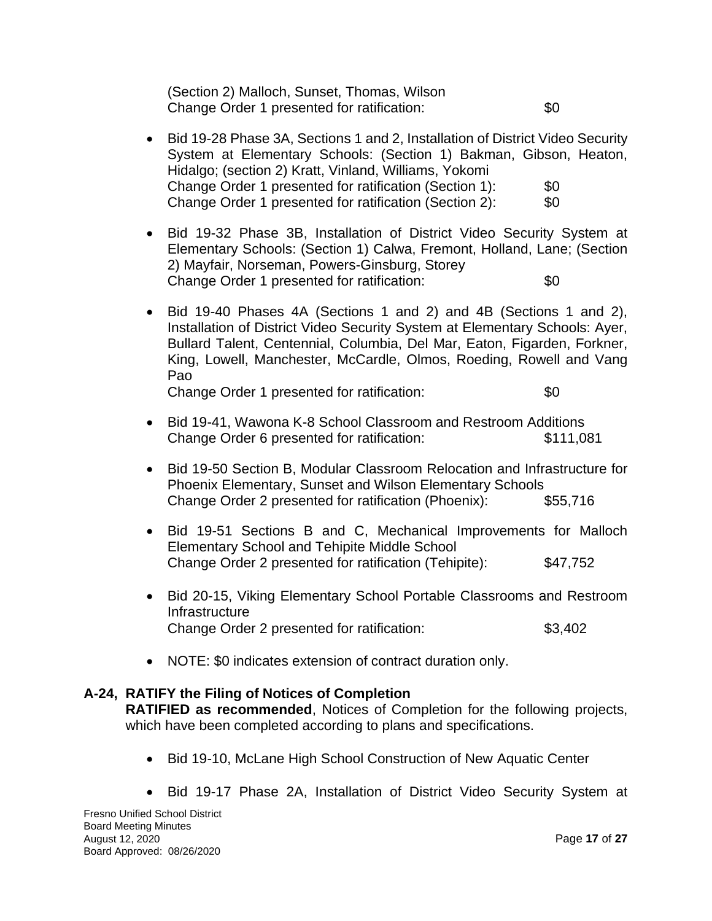(Section 2) Malloch, Sunset, Thomas, Wilson Change Order 1 presented for ratification:  $$0$ 

- Bid 19-28 Phase 3A, Sections 1 and 2, Installation of District Video Security System at Elementary Schools: (Section 1) Bakman, Gibson, Heaton, Hidalgo; (section 2) Kratt, Vinland, Williams, Yokomi Change Order 1 presented for ratification (Section 1): \$0 Change Order 1 presented for ratification (Section 2): \$0
- Bid 19-32 Phase 3B, Installation of District Video Security System at Elementary Schools: (Section 1) Calwa, Fremont, Holland, Lane; (Section 2) Mayfair, Norseman, Powers-Ginsburg, Storey Change Order 1 presented for ratification:  $$0$
- Bid 19-40 Phases 4A (Sections 1 and 2) and 4B (Sections 1 and 2), Installation of District Video Security System at Elementary Schools: Ayer, Bullard Talent, Centennial, Columbia, Del Mar, Eaton, Figarden, Forkner, King, Lowell, Manchester, McCardle, Olmos, Roeding, Rowell and Vang Pao

Change Order 1 presented for ratification:  $$0$ 

• Bid 19-41, Wawona K-8 School Classroom and Restroom Additions Change Order 6 presented for ratification: \$111,081

- Bid 19-50 Section B, Modular Classroom Relocation and Infrastructure for Phoenix Elementary, Sunset and Wilson Elementary Schools Change Order 2 presented for ratification (Phoenix): \$55,716
- Bid 19-51 Sections B and C, Mechanical Improvements for Malloch Elementary School and Tehipite Middle School Change Order 2 presented for ratification (Tehipite): \$47,752
- Bid 20-15, Viking Elementary School Portable Classrooms and Restroom **Infrastructure** Change Order 2 presented for ratification: \$3,402
- NOTE: \$0 indicates extension of contract duration only.

# **A-24, RATIFY the Filing of Notices of Completion**

**RATIFIED as recommended**, Notices of Completion for the following projects, which have been completed according to plans and specifications.

- Bid 19-10, McLane High School Construction of New Aquatic Center
- Bid 19-17 Phase 2A, Installation of District Video Security System at

Fresno Unified School District Board Meeting Minutes August 12, 2020 Page **17** of **27** Board Approved: 08/26/2020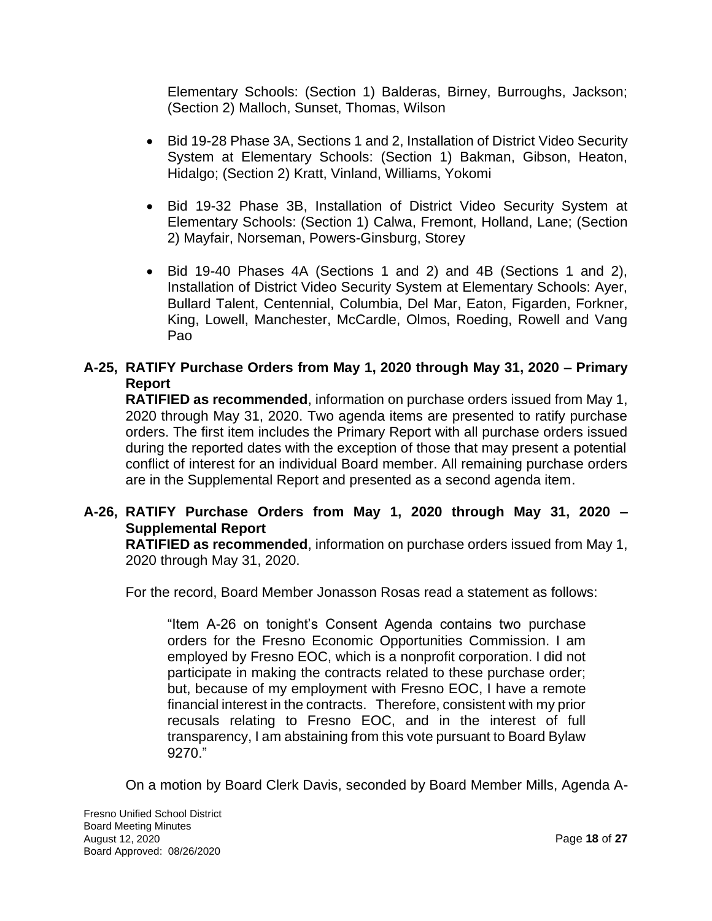Elementary Schools: (Section 1) Balderas, Birney, Burroughs, Jackson; (Section 2) Malloch, Sunset, Thomas, Wilson

- Bid 19-28 Phase 3A, Sections 1 and 2, Installation of District Video Security System at Elementary Schools: (Section 1) Bakman, Gibson, Heaton, Hidalgo; (Section 2) Kratt, Vinland, Williams, Yokomi
- Bid 19-32 Phase 3B, Installation of District Video Security System at Elementary Schools: (Section 1) Calwa, Fremont, Holland, Lane; (Section 2) Mayfair, Norseman, Powers-Ginsburg, Storey
- Bid 19-40 Phases 4A (Sections 1 and 2) and 4B (Sections 1 and 2), Installation of District Video Security System at Elementary Schools: Ayer, Bullard Talent, Centennial, Columbia, Del Mar, Eaton, Figarden, Forkner, King, Lowell, Manchester, McCardle, Olmos, Roeding, Rowell and Vang Pao

# **A-25, RATIFY Purchase Orders from May 1, 2020 through May 31, 2020 – Primary Report**

**RATIFIED as recommended**, information on purchase orders issued from May 1, 2020 through May 31, 2020. Two agenda items are presented to ratify purchase orders. The first item includes the Primary Report with all purchase orders issued during the reported dates with the exception of those that may present a potential conflict of interest for an individual Board member. All remaining purchase orders are in the Supplemental Report and presented as a second agenda item.

## **A-26, RATIFY Purchase Orders from May 1, 2020 through May 31, 2020 – Supplemental Report**

**RATIFIED as recommended**, information on purchase orders issued from May 1, 2020 through May 31, 2020.

For the record, Board Member Jonasson Rosas read a statement as follows:

"Item A-26 on tonight's Consent Agenda contains two purchase orders for the Fresno Economic Opportunities Commission. I am employed by Fresno EOC, which is a nonprofit corporation. I did not participate in making the contracts related to these purchase order; but, because of my employment with Fresno EOC, I have a remote financial interest in the contracts. Therefore, consistent with my prior recusals relating to Fresno EOC, and in the interest of full transparency, I am abstaining from this vote pursuant to Board Bylaw 9270."

On a motion by Board Clerk Davis, seconded by Board Member Mills, Agenda A-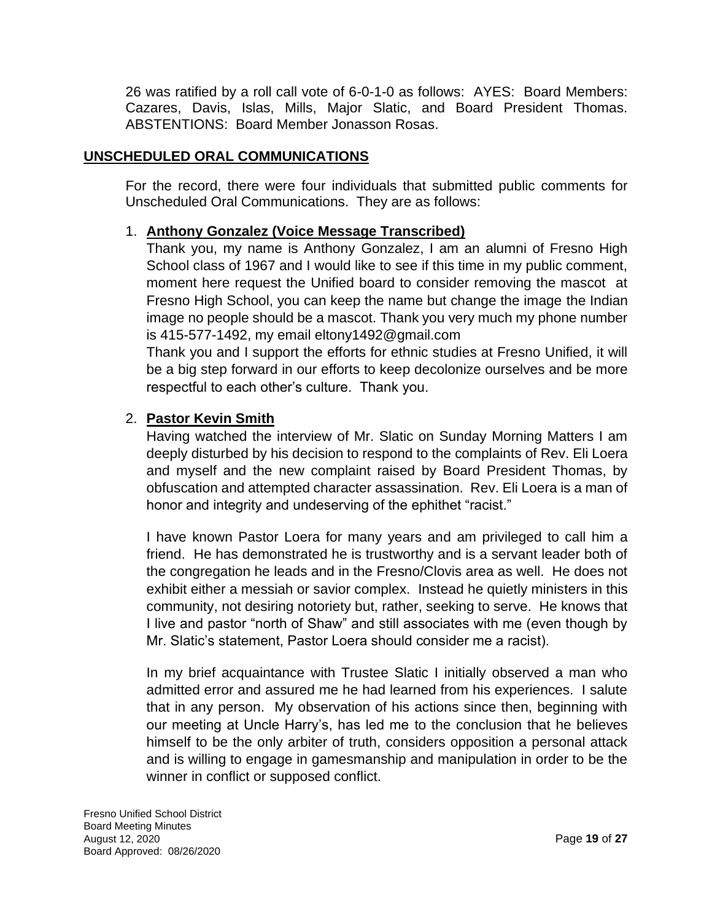26 was ratified by a roll call vote of 6-0-1-0 as follows: AYES: Board Members: Cazares, Davis, Islas, Mills, Major Slatic, and Board President Thomas. ABSTENTIONS: Board Member Jonasson Rosas.

## **UNSCHEDULED ORAL COMMUNICATIONS**

For the record, there were four individuals that submitted public comments for Unscheduled Oral Communications. They are as follows:

## 1. **Anthony Gonzalez (Voice Message Transcribed)**

Thank you, my name is Anthony Gonzalez, I am an alumni of Fresno High School class of 1967 and I would like to see if this time in my public comment, moment here request the Unified board to consider removing the mascot at Fresno High School, you can keep the name but change the image the Indian image no people should be a mascot. Thank you very much my phone number is 415-577-1492, my email eltony1492@gmail.com

Thank you and I support the efforts for ethnic studies at Fresno Unified, it will be a big step forward in our efforts to keep decolonize ourselves and be more respectful to each other's culture. Thank you.

## 2. **Pastor Kevin Smith**

Having watched the interview of Mr. Slatic on Sunday Morning Matters I am deeply disturbed by his decision to respond to the complaints of Rev. Eli Loera and myself and the new complaint raised by Board President Thomas, by obfuscation and attempted character assassination. Rev. Eli Loera is a man of honor and integrity and undeserving of the ephithet "racist."

I have known Pastor Loera for many years and am privileged to call him a friend. He has demonstrated he is trustworthy and is a servant leader both of the congregation he leads and in the Fresno/Clovis area as well. He does not exhibit either a messiah or savior complex. Instead he quietly ministers in this community, not desiring notoriety but, rather, seeking to serve. He knows that I live and pastor "north of Shaw" and still associates with me (even though by Mr. Slatic's statement, Pastor Loera should consider me a racist).

In my brief acquaintance with Trustee Slatic I initially observed a man who admitted error and assured me he had learned from his experiences. I salute that in any person. My observation of his actions since then, beginning with our meeting at Uncle Harry's, has led me to the conclusion that he believes himself to be the only arbiter of truth, considers opposition a personal attack and is willing to engage in gamesmanship and manipulation in order to be the winner in conflict or supposed conflict.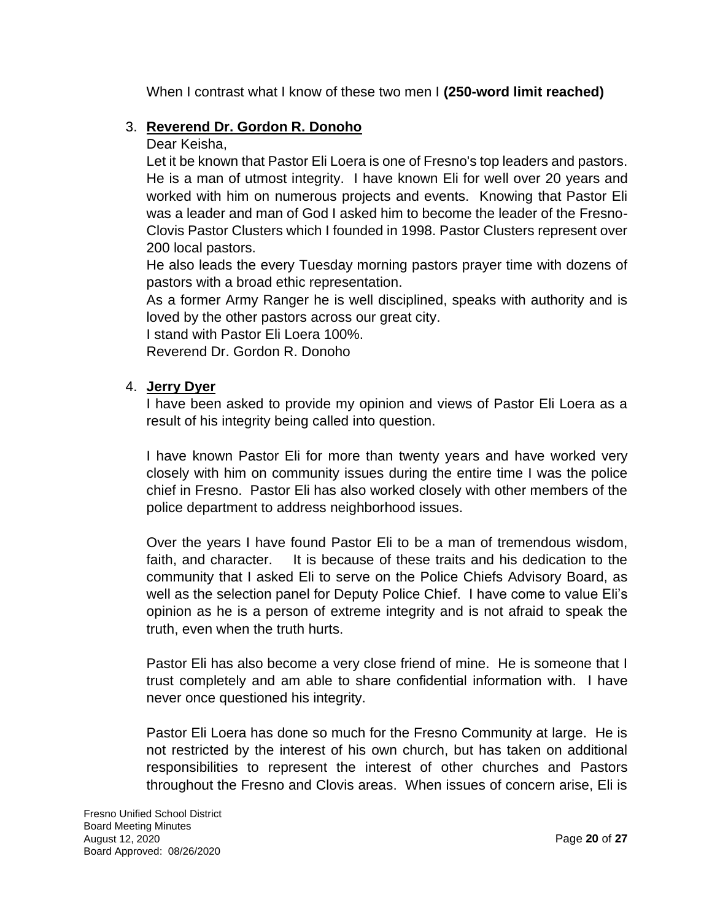When I contrast what I know of these two men I **(250-word limit reached)**

## 3. **Reverend Dr. Gordon R. Donoho**

Dear Keisha,

Let it be known that Pastor Eli Loera is one of Fresno's top leaders and pastors. He is a man of utmost integrity. I have known Eli for well over 20 years and worked with him on numerous projects and events. Knowing that Pastor Eli was a leader and man of God I asked him to become the leader of the Fresno-Clovis Pastor Clusters which I founded in 1998. Pastor Clusters represent over 200 local pastors.

He also leads the every Tuesday morning pastors prayer time with dozens of pastors with a broad ethic representation.

As a former Army Ranger he is well disciplined, speaks with authority and is loved by the other pastors across our great city.

I stand with Pastor Eli Loera 100%.

Reverend Dr. Gordon R. Donoho

#### 4. **Jerry Dyer**

I have been asked to provide my opinion and views of Pastor Eli Loera as a result of his integrity being called into question.

I have known Pastor Eli for more than twenty years and have worked very closely with him on community issues during the entire time I was the police chief in Fresno. Pastor Eli has also worked closely with other members of the police department to address neighborhood issues.

Over the years I have found Pastor Eli to be a man of tremendous wisdom, faith, and character. It is because of these traits and his dedication to the community that I asked Eli to serve on the Police Chiefs Advisory Board, as well as the selection panel for Deputy Police Chief. I have come to value Eli's opinion as he is a person of extreme integrity and is not afraid to speak the truth, even when the truth hurts.

Pastor Eli has also become a very close friend of mine. He is someone that I trust completely and am able to share confidential information with. I have never once questioned his integrity.

Pastor Eli Loera has done so much for the Fresno Community at large. He is not restricted by the interest of his own church, but has taken on additional responsibilities to represent the interest of other churches and Pastors throughout the Fresno and Clovis areas. When issues of concern arise, Eli is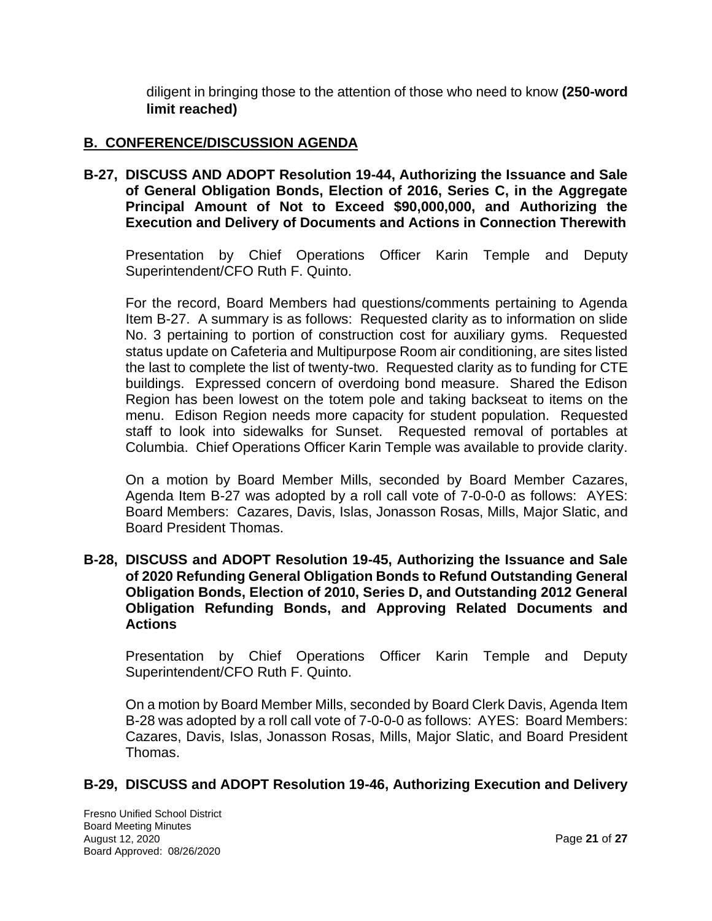diligent in bringing those to the attention of those who need to know **(250-word limit reached)**

## **B. CONFERENCE/DISCUSSION AGENDA**

**B-27, DISCUSS AND ADOPT Resolution 19-44, Authorizing the Issuance and Sale of General Obligation Bonds, Election of 2016, Series C, in the Aggregate Principal Amount of Not to Exceed \$90,000,000, and Authorizing the Execution and Delivery of Documents and Actions in Connection Therewith**

Presentation by Chief Operations Officer Karin Temple and Deputy Superintendent/CFO Ruth F. Quinto.

For the record, Board Members had questions/comments pertaining to Agenda Item B-27. A summary is as follows: Requested clarity as to information on slide No. 3 pertaining to portion of construction cost for auxiliary gyms. Requested status update on Cafeteria and Multipurpose Room air conditioning, are sites listed the last to complete the list of twenty-two. Requested clarity as to funding for CTE buildings. Expressed concern of overdoing bond measure. Shared the Edison Region has been lowest on the totem pole and taking backseat to items on the menu. Edison Region needs more capacity for student population. Requested staff to look into sidewalks for Sunset. Requested removal of portables at Columbia. Chief Operations Officer Karin Temple was available to provide clarity.

On a motion by Board Member Mills, seconded by Board Member Cazares, Agenda Item B-27 was adopted by a roll call vote of 7-0-0-0 as follows: AYES: Board Members: Cazares, Davis, Islas, Jonasson Rosas, Mills, Major Slatic, and Board President Thomas.

#### **B-28, DISCUSS and ADOPT Resolution 19-45, Authorizing the Issuance and Sale of 2020 Refunding General Obligation Bonds to Refund Outstanding General Obligation Bonds, Election of 2010, Series D, and Outstanding 2012 General Obligation Refunding Bonds, and Approving Related Documents and Actions**

Presentation by Chief Operations Officer Karin Temple and Deputy Superintendent/CFO Ruth F. Quinto.

On a motion by Board Member Mills, seconded by Board Clerk Davis, Agenda Item B-28 was adopted by a roll call vote of 7-0-0-0 as follows: AYES: Board Members: Cazares, Davis, Islas, Jonasson Rosas, Mills, Major Slatic, and Board President Thomas.

#### **B-29, DISCUSS and ADOPT Resolution 19-46, Authorizing Execution and Delivery**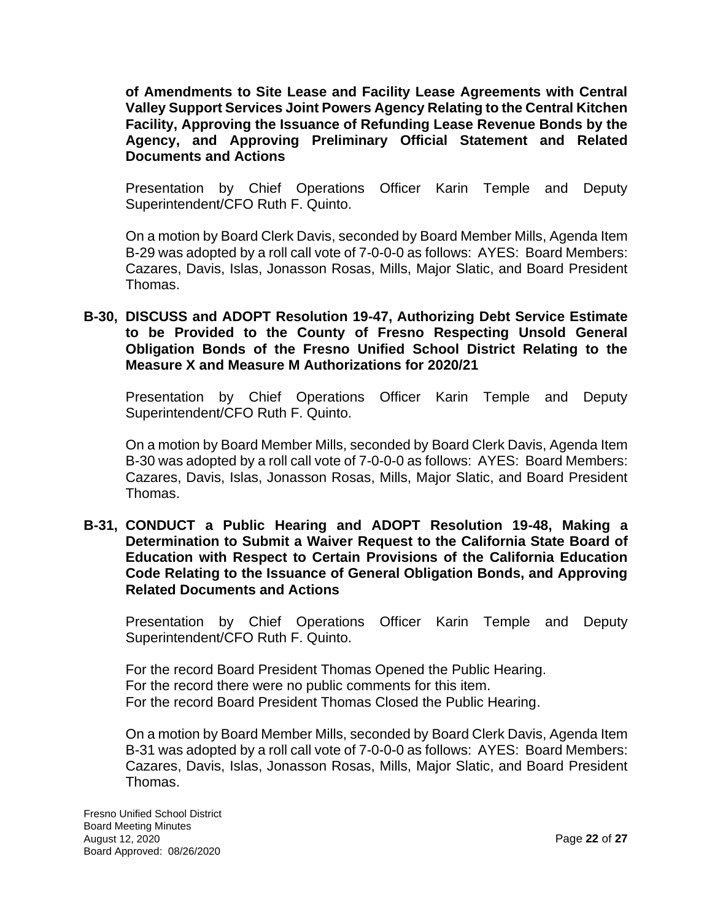**of Amendments to Site Lease and Facility Lease Agreements with Central Valley Support Services Joint Powers Agency Relating to the Central Kitchen Facility, Approving the Issuance of Refunding Lease Revenue Bonds by the Agency, and Approving Preliminary Official Statement and Related Documents and Actions**

Presentation by Chief Operations Officer Karin Temple and Deputy Superintendent/CFO Ruth F. Quinto.

On a motion by Board Clerk Davis, seconded by Board Member Mills, Agenda Item B-29 was adopted by a roll call vote of 7-0-0-0 as follows: AYES: Board Members: Cazares, Davis, Islas, Jonasson Rosas, Mills, Major Slatic, and Board President Thomas.

**B-30, DISCUSS and ADOPT Resolution 19-47, Authorizing Debt Service Estimate to be Provided to the County of Fresno Respecting Unsold General Obligation Bonds of the Fresno Unified School District Relating to the Measure X and Measure M Authorizations for 2020/21**

Presentation by Chief Operations Officer Karin Temple and Deputy Superintendent/CFO Ruth F. Quinto.

On a motion by Board Member Mills, seconded by Board Clerk Davis, Agenda Item B-30 was adopted by a roll call vote of 7-0-0-0 as follows: AYES: Board Members: Cazares, Davis, Islas, Jonasson Rosas, Mills, Major Slatic, and Board President Thomas.

**B-31, CONDUCT a Public Hearing and ADOPT Resolution 19-48, Making a Determination to Submit a Waiver Request to the California State Board of Education with Respect to Certain Provisions of the California Education Code Relating to the Issuance of General Obligation Bonds, and Approving Related Documents and Actions**

Presentation by Chief Operations Officer Karin Temple and Deputy Superintendent/CFO Ruth F. Quinto.

For the record Board President Thomas Opened the Public Hearing. For the record there were no public comments for this item. For the record Board President Thomas Closed the Public Hearing.

On a motion by Board Member Mills, seconded by Board Clerk Davis, Agenda Item B-31 was adopted by a roll call vote of 7-0-0-0 as follows: AYES: Board Members: Cazares, Davis, Islas, Jonasson Rosas, Mills, Major Slatic, and Board President Thomas.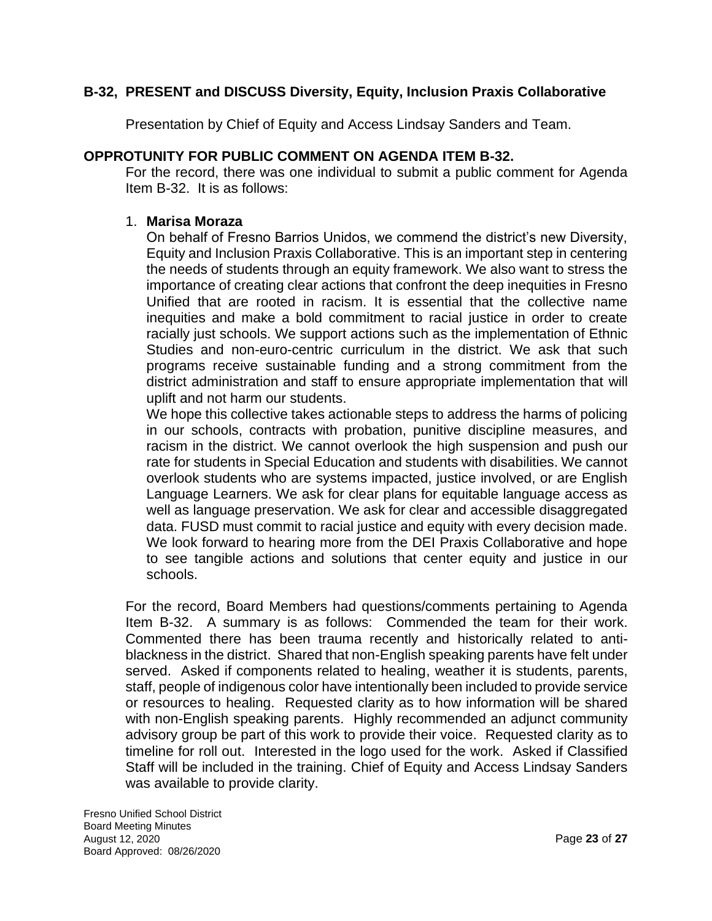## **B-32, PRESENT and DISCUSS Diversity, Equity, Inclusion Praxis Collaborative**

Presentation by Chief of Equity and Access Lindsay Sanders and Team.

## **OPPROTUNITY FOR PUBLIC COMMENT ON AGENDA ITEM B-32.**

For the record, there was one individual to submit a public comment for Agenda Item B-32. It is as follows:

#### 1. **Marisa Moraza**

On behalf of Fresno Barrios Unidos, we commend the district's new Diversity, Equity and Inclusion Praxis Collaborative. This is an important step in centering the needs of students through an equity framework. We also want to stress the importance of creating clear actions that confront the deep inequities in Fresno Unified that are rooted in racism. It is essential that the collective name inequities and make a bold commitment to racial justice in order to create racially just schools. We support actions such as the implementation of Ethnic Studies and non-euro-centric curriculum in the district. We ask that such programs receive sustainable funding and a strong commitment from the district administration and staff to ensure appropriate implementation that will uplift and not harm our students.

We hope this collective takes actionable steps to address the harms of policing in our schools, contracts with probation, punitive discipline measures, and racism in the district. We cannot overlook the high suspension and push our rate for students in Special Education and students with disabilities. We cannot overlook students who are systems impacted, justice involved, or are English Language Learners. We ask for clear plans for equitable language access as well as language preservation. We ask for clear and accessible disaggregated data. FUSD must commit to racial justice and equity with every decision made. We look forward to hearing more from the DEI Praxis Collaborative and hope to see tangible actions and solutions that center equity and justice in our schools.

For the record, Board Members had questions/comments pertaining to Agenda Item B-32. A summary is as follows: Commended the team for their work. Commented there has been trauma recently and historically related to antiblackness in the district. Shared that non-English speaking parents have felt under served. Asked if components related to healing, weather it is students, parents, staff, people of indigenous color have intentionally been included to provide service or resources to healing. Requested clarity as to how information will be shared with non-English speaking parents. Highly recommended an adjunct community advisory group be part of this work to provide their voice. Requested clarity as to timeline for roll out. Interested in the logo used for the work. Asked if Classified Staff will be included in the training. Chief of Equity and Access Lindsay Sanders was available to provide clarity.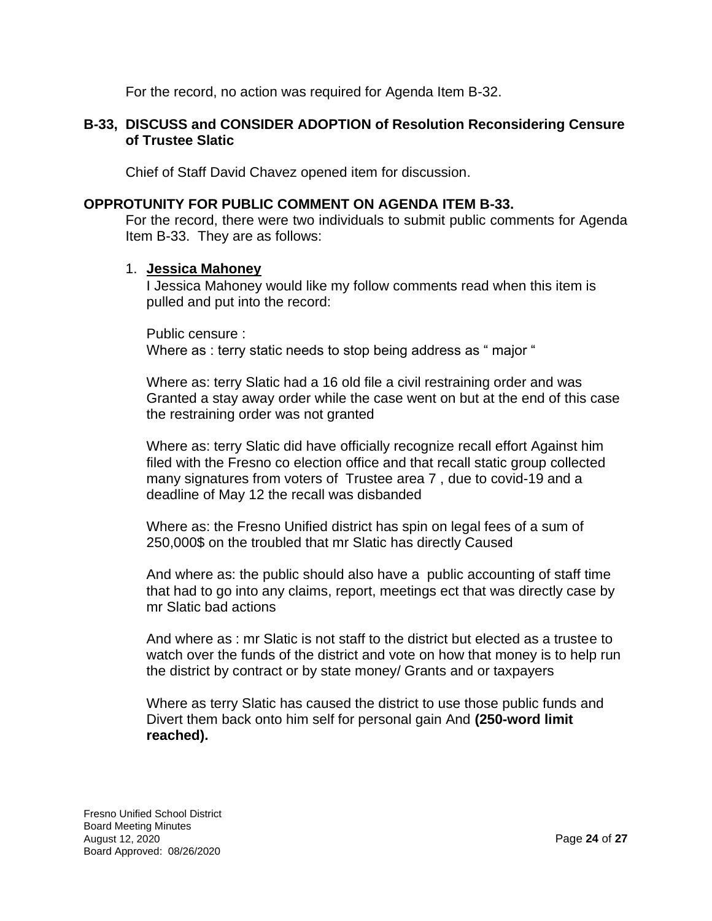For the record, no action was required for Agenda Item B-32.

#### **B-33, DISCUSS and CONSIDER ADOPTION of Resolution Reconsidering Censure of Trustee Slatic**

Chief of Staff David Chavez opened item for discussion.

#### **OPPROTUNITY FOR PUBLIC COMMENT ON AGENDA ITEM B-33.**

For the record, there were two individuals to submit public comments for Agenda Item B-33. They are as follows:

#### 1. **Jessica Mahoney**

I Jessica Mahoney would like my follow comments read when this item is pulled and put into the record:

Public censure : Where as : terry static needs to stop being address as "major "

Where as: terry Slatic had a 16 old file a civil restraining order and was Granted a stay away order while the case went on but at the end of this case the restraining order was not granted

Where as: terry Slatic did have officially recognize recall effort Against him filed with the Fresno co election office and that recall static group collected many signatures from voters of Trustee area 7 , due to covid-19 and a deadline of May 12 the recall was disbanded

Where as: the Fresno Unified district has spin on legal fees of a sum of 250,000\$ on the troubled that mr Slatic has directly Caused

And where as: the public should also have a public accounting of staff time that had to go into any claims, report, meetings ect that was directly case by mr Slatic bad actions

And where as : mr Slatic is not staff to the district but elected as a trustee to watch over the funds of the district and vote on how that money is to help run the district by contract or by state money/ Grants and or taxpayers

Where as terry Slatic has caused the district to use those public funds and Divert them back onto him self for personal gain And **(250-word limit reached).**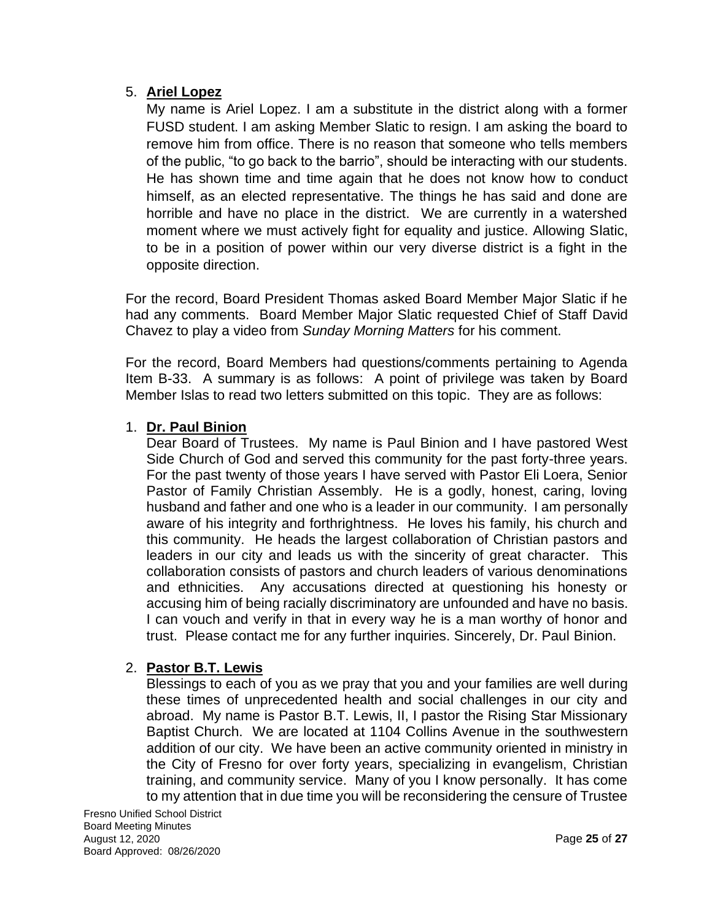## 5. **Ariel Lopez**

My name is Ariel Lopez. I am a substitute in the district along with a former FUSD student. I am asking Member Slatic to resign. I am asking the board to remove him from office. There is no reason that someone who tells members of the public, "to go back to the barrio", should be interacting with our students. He has shown time and time again that he does not know how to conduct himself, as an elected representative. The things he has said and done are horrible and have no place in the district. We are currently in a watershed moment where we must actively fight for equality and justice. Allowing Slatic, to be in a position of power within our very diverse district is a fight in the opposite direction.

For the record, Board President Thomas asked Board Member Major Slatic if he had any comments. Board Member Major Slatic requested Chief of Staff David Chavez to play a video from *Sunday Morning Matters* for his comment.

For the record, Board Members had questions/comments pertaining to Agenda Item B-33. A summary is as follows: A point of privilege was taken by Board Member Islas to read two letters submitted on this topic. They are as follows:

## 1. **Dr. Paul Binion**

Dear Board of Trustees. My name is Paul Binion and I have pastored West Side Church of God and served this community for the past forty-three years. For the past twenty of those years I have served with Pastor Eli Loera, Senior Pastor of Family Christian Assembly. He is a godly, honest, caring, loving husband and father and one who is a leader in our community. I am personally aware of his integrity and forthrightness. He loves his family, his church and this community. He heads the largest collaboration of Christian pastors and leaders in our city and leads us with the sincerity of great character. This collaboration consists of pastors and church leaders of various denominations and ethnicities. Any accusations directed at questioning his honesty or accusing him of being racially discriminatory are unfounded and have no basis. I can vouch and verify in that in every way he is a man worthy of honor and trust. Please contact me for any further inquiries. Sincerely, Dr. Paul Binion.

# 2. **Pastor B.T. Lewis**

Blessings to each of you as we pray that you and your families are well during these times of unprecedented health and social challenges in our city and abroad. My name is Pastor B.T. Lewis, II, I pastor the Rising Star Missionary Baptist Church. We are located at 1104 Collins Avenue in the southwestern addition of our city. We have been an active community oriented in ministry in the City of Fresno for over forty years, specializing in evangelism, Christian training, and community service. Many of you I know personally. It has come to my attention that in due time you will be reconsidering the censure of Trustee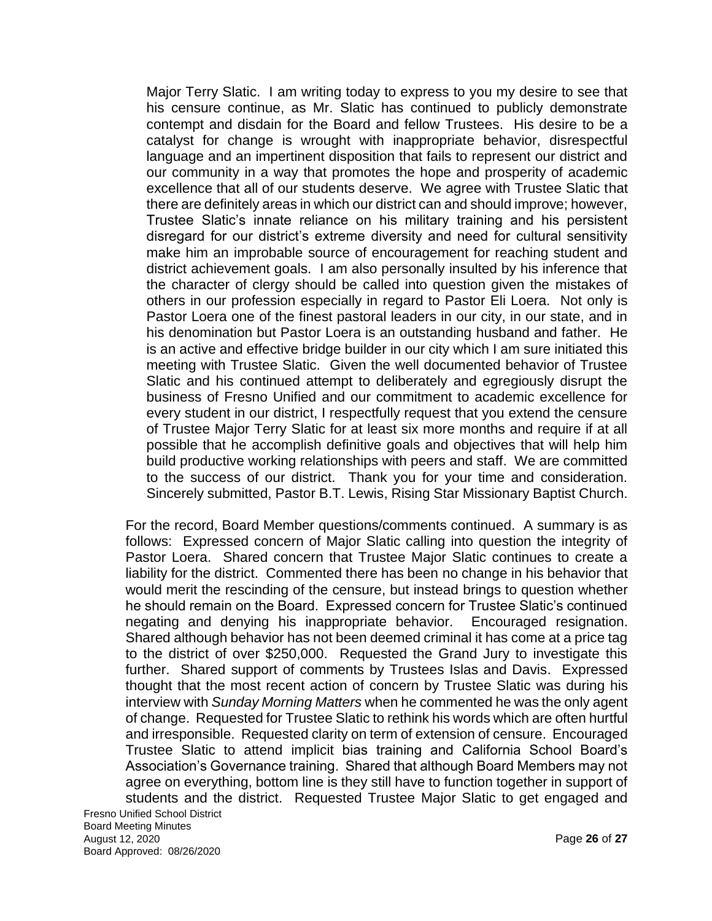Major Terry Slatic. I am writing today to express to you my desire to see that his censure continue, as Mr. Slatic has continued to publicly demonstrate contempt and disdain for the Board and fellow Trustees. His desire to be a catalyst for change is wrought with inappropriate behavior, disrespectful language and an impertinent disposition that fails to represent our district and our community in a way that promotes the hope and prosperity of academic excellence that all of our students deserve. We agree with Trustee Slatic that there are definitely areas in which our district can and should improve; however, Trustee Slatic's innate reliance on his military training and his persistent disregard for our district's extreme diversity and need for cultural sensitivity make him an improbable source of encouragement for reaching student and district achievement goals. I am also personally insulted by his inference that the character of clergy should be called into question given the mistakes of others in our profession especially in regard to Pastor Eli Loera. Not only is Pastor Loera one of the finest pastoral leaders in our city, in our state, and in his denomination but Pastor Loera is an outstanding husband and father. He is an active and effective bridge builder in our city which I am sure initiated this meeting with Trustee Slatic. Given the well documented behavior of Trustee Slatic and his continued attempt to deliberately and egregiously disrupt the business of Fresno Unified and our commitment to academic excellence for every student in our district, I respectfully request that you extend the censure of Trustee Major Terry Slatic for at least six more months and require if at all possible that he accomplish definitive goals and objectives that will help him build productive working relationships with peers and staff. We are committed to the success of our district. Thank you for your time and consideration. Sincerely submitted, Pastor B.T. Lewis, Rising Star Missionary Baptist Church.

For the record, Board Member questions/comments continued. A summary is as follows: Expressed concern of Major Slatic calling into question the integrity of Pastor Loera. Shared concern that Trustee Major Slatic continues to create a liability for the district. Commented there has been no change in his behavior that would merit the rescinding of the censure, but instead brings to question whether he should remain on the Board. Expressed concern for Trustee Slatic's continued negating and denying his inappropriate behavior. Encouraged resignation. Shared although behavior has not been deemed criminal it has come at a price tag to the district of over \$250,000. Requested the Grand Jury to investigate this further. Shared support of comments by Trustees Islas and Davis. Expressed thought that the most recent action of concern by Trustee Slatic was during his interview with *Sunday Morning Matters* when he commented he was the only agent of change. Requested for Trustee Slatic to rethink his words which are often hurtful and irresponsible. Requested clarity on term of extension of censure. Encouraged Trustee Slatic to attend implicit bias training and California School Board's Association's Governance training. Shared that although Board Members may not agree on everything, bottom line is they still have to function together in support of students and the district. Requested Trustee Major Slatic to get engaged and